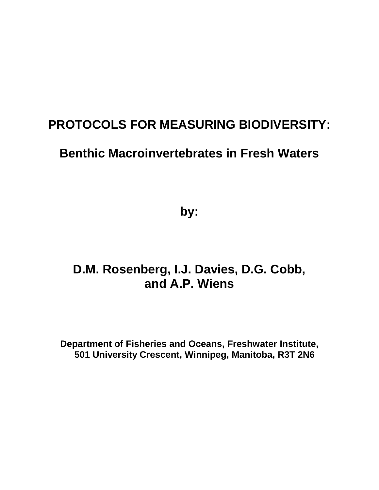## **PROTOCOLS FOR MEASURING BIODIVERSITY:**

## **Benthic Macroinvertebrates in Fresh Waters**

**by:**

# **D.M. Rosenberg, I.J. Davies, D.G. Cobb, and A.P. Wiens**

**Department of Fisheries and Oceans, Freshwater Institute, 501 University Crescent, Winnipeg, Manitoba, R3T 2N6**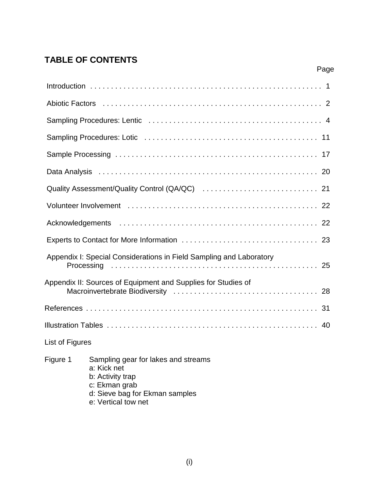## **TABLE OF CONTENTS**

|                 |                                                                                                                                                  | Page |
|-----------------|--------------------------------------------------------------------------------------------------------------------------------------------------|------|
|                 |                                                                                                                                                  |      |
|                 |                                                                                                                                                  |      |
|                 |                                                                                                                                                  |      |
|                 |                                                                                                                                                  |      |
|                 |                                                                                                                                                  |      |
|                 |                                                                                                                                                  |      |
|                 |                                                                                                                                                  |      |
|                 |                                                                                                                                                  |      |
|                 |                                                                                                                                                  |      |
|                 |                                                                                                                                                  |      |
|                 | Appendix I: Special Considerations in Field Sampling and Laboratory                                                                              |      |
|                 | Appendix II: Sources of Equipment and Supplies for Studies of                                                                                    |      |
|                 |                                                                                                                                                  |      |
|                 |                                                                                                                                                  |      |
| List of Figures |                                                                                                                                                  |      |
| Figure 1        | Sampling gear for lakes and streams<br>a: Kick net<br>b: Activity trap<br>c: Ekman grab<br>d: Sieve bag for Ekman samples<br>e: Vertical tow net |      |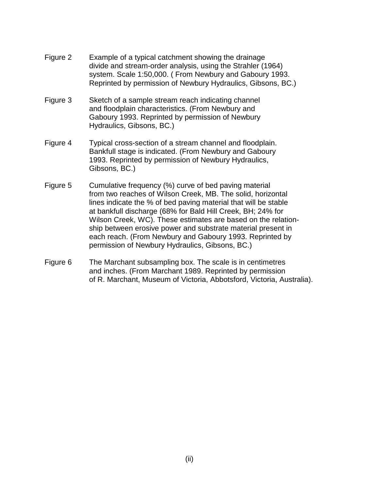- Figure 2 Example of a typical catchment showing the drainage divide and stream-order analysis, using the Strahler (1964) system. Scale 1:50,000. ( From Newbury and Gaboury 1993. Reprinted by permission of Newbury Hydraulics, Gibsons, BC.)
- Figure 3 Sketch of a sample stream reach indicating channel and floodplain characteristics. (From Newbury and Gaboury 1993. Reprinted by permission of Newbury Hydraulics, Gibsons, BC.)
- Figure 4 Typical cross-section of a stream channel and floodplain. Bankfull stage is indicated. (From Newbury and Gaboury 1993. Reprinted by permission of Newbury Hydraulics, Gibsons, BC.)
- Figure 5 Cumulative frequency (%) curve of bed paving material from two reaches of Wilson Creek, MB. The solid, horizontal lines indicate the % of bed paving material that will be stable at bankfull discharge (68% for Bald Hill Creek, BH; 24% for Wilson Creek, WC). These estimates are based on the relationship between erosive power and substrate material present in each reach. (From Newbury and Gaboury 1993. Reprinted by permission of Newbury Hydraulics, Gibsons, BC.)
- Figure 6 The Marchant subsampling box. The scale is in centimetres and inches. (From Marchant 1989. Reprinted by permission of R. Marchant, Museum of Victoria, Abbotsford, Victoria, Australia).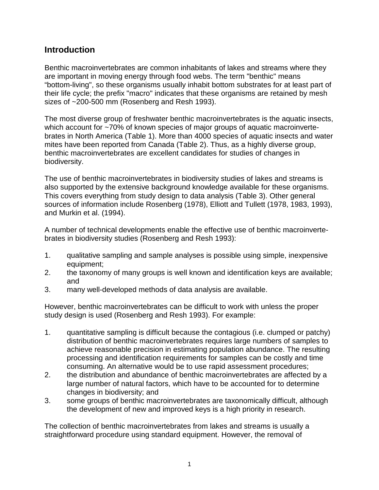## **Introduction**

Benthic macroinvertebrates are common inhabitants of lakes and streams where they are important in moving energy through food webs. The term "benthic" means "bottom-living", so these organisms usually inhabit bottom substrates for at least part of their life cycle; the prefix "macro" indicates that these organisms are retained by mesh sizes of ~200-500 mm (Rosenberg and Resh 1993).

The most diverse group of freshwater benthic macroinvertebrates is the aquatic insects, which account for ~70% of known species of major groups of aquatic macroinvertebrates in North America (Table 1). More than 4000 species of aquatic insects and water mites have been reported from Canada (Table 2). Thus, as a highly diverse group, benthic macroinvertebrates are excellent candidates for studies of changes in biodiversity.

The use of benthic macroinvertebrates in biodiversity studies of lakes and streams is also supported by the extensive background knowledge available for these organisms. This covers everything from study design to data analysis (Table 3). Other general sources of information include Rosenberg (1978), Elliott and Tullett (1978, 1983, 1993), and Murkin et al. (1994).

A number of technical developments enable the effective use of benthic macroinvertebrates in biodiversity studies (Rosenberg and Resh 1993):

- 1. qualitative sampling and sample analyses is possible using simple, inexpensive equipment;
- 2. the taxonomy of many groups is well known and identification keys are available; and
- 3. many well-developed methods of data analysis are available.

However, benthic macroinvertebrates can be difficult to work with unless the proper study design is used (Rosenberg and Resh 1993). For example:

- 1. quantitative sampling is difficult because the contagious (i.e. clumped or patchy) distribution of benthic macroinvertebrates requires large numbers of samples to achieve reasonable precision in estimating population abundance. The resulting processing and identification requirements for samples can be costly and time consuming. An alternative would be to use rapid assessment procedures;
- 2. the distribution and abundance of benthic macroinvertebrates are affected by a large number of natural factors, which have to be accounted for to determine changes in biodiversity; and
- 3. some groups of benthic macroinvertebrates are taxonomically difficult, although the development of new and improved keys is a high priority in research.

The collection of benthic macroinvertebrates from lakes and streams is usually a straightforward procedure using standard equipment. However, the removal of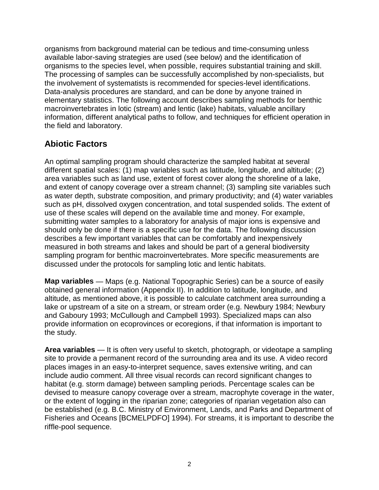organisms from background material can be tedious and time-consuming unless available labor-saving strategies are used (see below) and the identification of organisms to the species level, when possible, requires substantial training and skill. The processing of samples can be successfully accomplished by non-specialists, but the involvement of systematists is recommended for species-level identifications. Data-analysis procedures are standard, and can be done by anyone trained in elementary statistics. The following account describes sampling methods for benthic macroinvertebrates in lotic (stream) and lentic (lake) habitats, valuable ancillary information, different analytical paths to follow, and techniques for efficient operation in the field and laboratory.

## **Abiotic Factors**

An optimal sampling program should characterize the sampled habitat at several different spatial scales: (1) map variables such as latitude, longitude, and altitude; (2) area variables such as land use, extent of forest cover along the shoreline of a lake, and extent of canopy coverage over a stream channel; (3) sampling site variables such as water depth, substrate composition, and primary productivity; and (4) water variables such as pH, dissolved oxygen concentration, and total suspended solids. The extent of use of these scales will depend on the available time and money. For example, submitting water samples to a laboratory for analysis of major ions is expensive and should only be done if there is a specific use for the data. The following discussion describes a few important variables that can be comfortably and inexpensively measured in both streams and lakes and should be part of a general biodiversity sampling program for benthic macroinvertebrates. More specific measurements are discussed under the protocols for sampling lotic and lentic habitats.

**Map variables** — Maps (e.g. National Topographic Series) can be a source of easily obtained general information (Appendix II). In addition to latitude, longitude, and altitude, as mentioned above, it is possible to calculate catchment area surrounding a lake or upstream of a site on a stream, or stream order (e.g. Newbury 1984; Newbury and Gaboury 1993; McCullough and Campbell 1993). Specialized maps can also provide information on ecoprovinces or ecoregions, if that information is important to the study.

**Area variables** — It is often very useful to sketch, photograph, or videotape a sampling site to provide a permanent record of the surrounding area and its use. A video record places images in an easy-to-interpret sequence, saves extensive writing, and can include audio comment. All three visual records can record significant changes to habitat (e.g. storm damage) between sampling periods. Percentage scales can be devised to measure canopy coverage over a stream, macrophyte coverage in the water, or the extent of logging in the riparian zone; categories of riparian vegetation also can be established (e.g. B.C. Ministry of Environment, Lands, and Parks and Department of Fisheries and Oceans [BCMELPDFO] 1994). For streams, it is important to describe the riffle-pool sequence.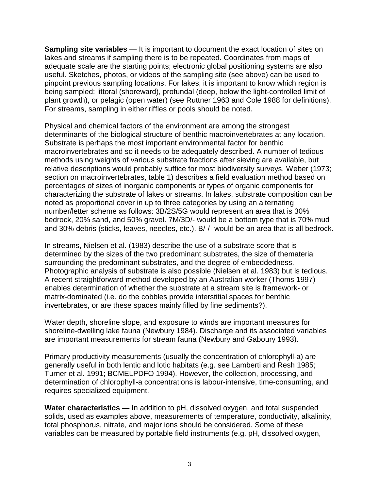**Sampling site variables** — It is important to document the exact location of sites on lakes and streams if sampling there is to be repeated. Coordinates from maps of adequate scale are the starting points; electronic global positioning systems are also useful. Sketches, photos, or videos of the sampling site (see above) can be used to pinpoint previous sampling locations. For lakes, it is important to know which region is being sampled: littoral (shoreward), profundal (deep, below the light-controlled limit of plant growth), or pelagic (open water) (see Ruttner 1963 and Cole 1988 for definitions). For streams, sampling in either riffles or pools should be noted.

Physical and chemical factors of the environment are among the strongest determinants of the biological structure of benthic macroinvertebrates at any location. Substrate is perhaps the most important environmental factor for benthic macroinvertebrates and so it needs to be adequately described. A number of tedious methods using weights of various substrate fractions after sieving are available, but relative descriptions would probably suffice for most biodiversity surveys. Weber (1973; section on macroinvertebrates, table 1) describes a field evaluation method based on percentages of sizes of inorganic components or types of organic components for characterizing the substrate of lakes or streams. In lakes, substrate composition can be noted as proportional cover in up to three categories by using an alternating number/letter scheme as follows: 3B/2S/5G would represent an area that is 30% bedrock, 20% sand, and 50% gravel. 7M/3D/- would be a bottom type that is 70% mud and 30% debris (sticks, leaves, needles, etc.). B/-/- would be an area that is all bedrock.

In streams, Nielsen et al. (1983) describe the use of a substrate score that is determined by the sizes of the two predominant substrates, the size of thematerial surrounding the predominant substrates, and the degree of embeddedness. Photographic analysis of substrate is also possible (Nielsen et al. 1983) but is tedious. A recent straightforward method developed by an Australian worker (Thoms 1997) enables determination of whether the substrate at a stream site is framework- or matrix-dominated (i.e. do the cobbles provide interstitial spaces for benthic invertebrates, or are these spaces mainly filled by fine sediments?).

Water depth, shoreline slope, and exposure to winds are important measures for shoreline-dwelling lake fauna (Newbury 1984). Discharge and its associated variables are important measurements for stream fauna (Newbury and Gaboury 1993).

Primary productivity measurements (usually the concentration of chlorophyll-a) are generally useful in both lentic and lotic habitats (e.g. see Lamberti and Resh 1985; Turner et al. 1991; BCMELPDFO 1994). However, the collection, processing, and determination of chlorophyll-a concentrations is labour-intensive, time-consuming, and requires specialized equipment.

**Water characteristics** — In addition to pH, dissolved oxygen, and total suspended solids, used as examples above, measurements of temperature, conductivity, alkalinity, total phosphorus, nitrate, and major ions should be considered. Some of these variables can be measured by portable field instruments (e.g. pH, dissolved oxygen,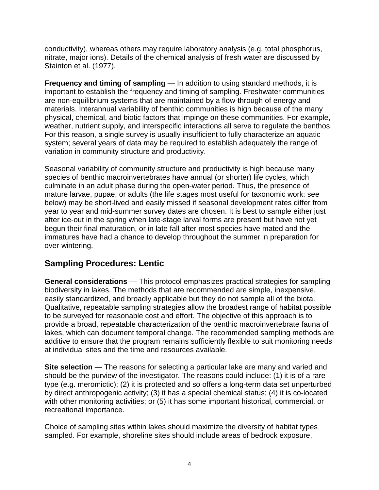conductivity), whereas others may require laboratory analysis (e.g. total phosphorus, nitrate, major ions). Details of the chemical analysis of fresh water are discussed by Stainton et al. (1977).

**Frequency and timing of sampling** — In addition to using standard methods, it is important to establish the frequency and timing of sampling. Freshwater communities are non-equilibrium systems that are maintained by a flow-through of energy and materials. Interannual variability of benthic communities is high because of the many physical, chemical, and biotic factors that impinge on these communities. For example, weather, nutrient supply, and interspecific interactions all serve to regulate the benthos. For this reason, a single survey is usually insufficient to fully characterize an aquatic system; several years of data may be required to establish adequately the range of variation in community structure and productivity.

Seasonal variability of community structure and productivity is high because many species of benthic macroinvertebrates have annual (or shorter) life cycles, which culminate in an adult phase during the open-water period. Thus, the presence of mature larvae, pupae, or adults (the life stages most useful for taxonomic work: see below) may be short-lived and easily missed if seasonal development rates differ from year to year and mid-summer survey dates are chosen. It is best to sample either just after ice-out in the spring when late-stage larval forms are present but have not yet begun their final maturation, or in late fall after most species have mated and the immatures have had a chance to develop throughout the summer in preparation for over-wintering.

## **Sampling Procedures: Lentic**

**General considerations** — This protocol emphasizes practical strategies for sampling biodiversity in lakes. The methods that are recommended are simple, inexpensive, easily standardized, and broadly applicable but they do not sample all of the biota. Qualitative, repeatable sampling strategies allow the broadest range of habitat possible to be surveyed for reasonable cost and effort. The objective of this approach is to provide a broad, repeatable characterization of the benthic macroinvertebrate fauna of lakes, which can document temporal change. The recommended sampling methods are additive to ensure that the program remains sufficiently flexible to suit monitoring needs at individual sites and the time and resources available.

**Site selection** — The reasons for selecting a particular lake are many and varied and should be the purview of the investigator. The reasons could include: (1) it is of a rare type (e.g. meromictic); (2) it is protected and so offers a long-term data set unperturbed by direct anthropogenic activity; (3) it has a special chemical status; (4) it is co-located with other monitoring activities; or (5) it has some important historical, commercial, or recreational importance.

Choice of sampling sites within lakes should maximize the diversity of habitat types sampled. For example, shoreline sites should include areas of bedrock exposure,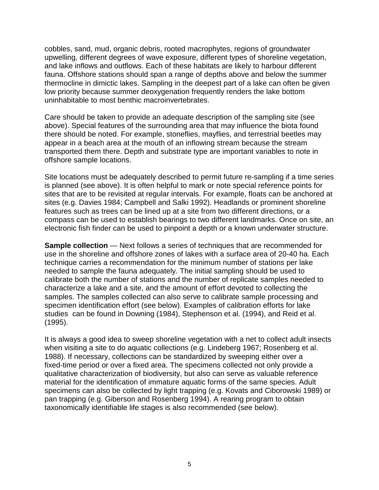cobbles, sand, mud, organic debris, rooted macrophytes, regions of groundwater upwelling, different degrees of wave exposure, different types of shoreline vegetation, and lake inflows and outflows. Each of these habitats are likely to harbour different fauna. Offshore stations should span a range of depths above and below the summer thermocline in dimictic lakes. Sampling in the deepest part of a lake can often be given low priority because summer deoxygenation frequently renders the lake bottom uninhabitable to most benthic macroinvertebrates.

Care should be taken to provide an adequate description of the sampling site (see above). Special features of the surrounding area that may influence the biota found there should be noted. For example, stoneflies, mayflies, and terrestrial beetles may appear in a beach area at the mouth of an inflowing stream because the stream transported them there. Depth and substrate type are important variables to note in offshore sample locations.

Site locations must be adequately described to permit future re-sampling if a time series is planned (see above). It is often helpful to mark or note special reference points for sites that are to be revisited at regular intervals. For example, floats can be anchored at sites (e.g. Davies 1984; Campbell and Salki 1992). Headlands or prominent shoreline features such as trees can be lined up at a site from two different directions, or a compass can be used to establish bearings to two different landmarks. Once on site, an electronic fish finder can be used to pinpoint a depth or a known underwater structure.

**Sample collection** — Next follows a series of techniques that are recommended for use in the shoreline and offshore zones of lakes with a surface area of 20-40 ha. Each technique carries a recommendation for the minimum number of stations per lake needed to sample the fauna adequately. The initial sampling should be used to calibrate both the number of stations and the number of replicate samples needed to characterize a lake and a site, and the amount of effort devoted to collecting the samples. The samples collected can also serve to calibrate sample processing and specimen identification effort (see below). Examples of calibration efforts for lake studies can be found in Downing (1984), Stephenson et al. (1994), and Reid et al. (1995).

It is always a good idea to sweep shoreline vegetation with a net to collect adult insects when visiting a site to do aquatic collections (e.g. Lindeberg 1967; Rosenberg et al. 1988). If necessary, collections can be standardized by sweeping either over a fixed-time period or over a fixed area. The specimens collected not only provide a qualitative characterization of biodiversity, but also can serve as valuable reference material for the identification of immature aquatic forms of the same species. Adult specimens can also be collected by light trapping (e.g. Kovats and Ciborowski 1989) or pan trapping (e.g. Giberson and Rosenberg 1994). A rearing program to obtain taxonomically identifiable life stages is also recommended (see below).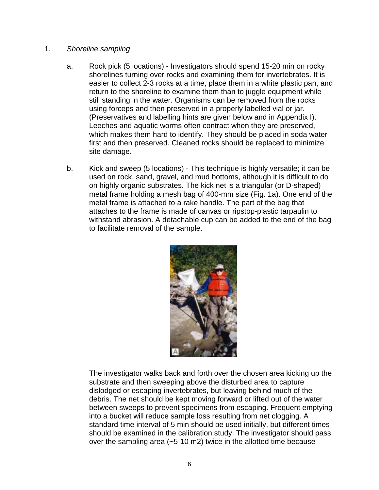#### 1. *Shoreline sampling*

- a. Rock pick (5 locations) Investigators should spend 15-20 min on rocky shorelines turning over rocks and examining them for invertebrates. It is easier to collect 2-3 rocks at a time, place them in a white plastic pan, and return to the shoreline to examine them than to juggle equipment while still standing in the water. Organisms can be removed from the rocks using forceps and then preserved in a properly labelled vial or jar. (Preservatives and labelling hints are given below and in Appendix I). Leeches and aquatic worms often contract when they are preserved, which makes them hard to identify. They should be placed in soda water first and then preserved. Cleaned rocks should be replaced to minimize site damage.
- b. Kick and sweep (5 locations) This technique is highly versatile; it can be used on rock, sand, gravel, and mud bottoms, although it is difficult to do on highly organic substrates. The kick net is a triangular (or D-shaped) metal frame holding a mesh bag of 400-mm size (Fig. 1a). One end of the metal frame is attached to a rake handle. The part of the bag that attaches to the frame is made of canvas or ripstop-plastic tarpaulin to withstand abrasion. A detachable cup can be added to the end of the bag to facilitate removal of the sample.



The investigator walks back and forth over the chosen area kicking up the substrate and then sweeping above the disturbed area to capture dislodged or escaping invertebrates, but leaving behind much of the debris. The net should be kept moving forward or lifted out of the water between sweeps to prevent specimens from escaping. Frequent emptying into a bucket will reduce sample loss resulting from net clogging. A standard time interval of 5 min should be used initially, but different times should be examined in the calibration study. The investigator should pass over the sampling area (~5-10 m2) twice in the allotted time because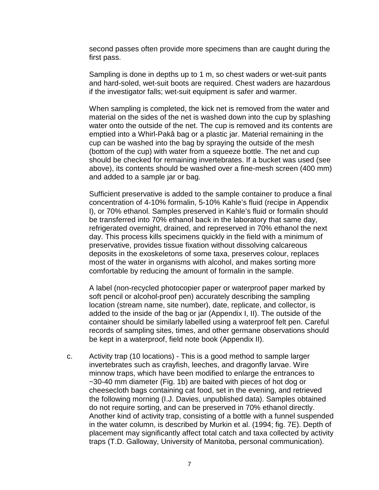second passes often provide more specimens than are caught during the first pass.

Sampling is done in depths up to 1 m, so chest waders or wet-suit pants and hard-soled, wet-suit boots are required. Chest waders are hazardous if the investigator falls; wet-suit equipment is safer and warmer.

When sampling is completed, the kick net is removed from the water and material on the sides of the net is washed down into the cup by splashing water onto the outside of the net. The cup is removed and its contents are emptied into a Whirl-Pakâ bag or a plastic jar. Material remaining in the cup can be washed into the bag by spraying the outside of the mesh (bottom of the cup) with water from a squeeze bottle. The net and cup should be checked for remaining invertebrates. If a bucket was used (see above), its contents should be washed over a fine-mesh screen (400 mm) and added to a sample jar or bag.

Sufficient preservative is added to the sample container to produce a final concentration of 4-10% formalin, 5-10% Kahle's fluid (recipe in Appendix I), or 70% ethanol. Samples preserved in Kahle's fluid or formalin should be transferred into 70% ethanol back in the laboratory that same day, refrigerated overnight, drained, and represerved in 70% ethanol the next day. This process kills specimens quickly in the field with a minimum of preservative, provides tissue fixation without dissolving calcareous deposits in the exoskeletons of some taxa, preserves colour, replaces most of the water in organisms with alcohol, and makes sorting more comfortable by reducing the amount of formalin in the sample.

A label (non-recycled photocopier paper or waterproof paper marked by soft pencil or alcohol-proof pen) accurately describing the sampling location (stream name, site number), date, replicate, and collector, is added to the inside of the bag or jar (Appendix I, II). The outside of the container should be similarly labelled using a waterproof felt pen. Careful records of sampling sites, times, and other germane observations should be kept in a waterproof, field note book (Appendix II).

c. Activity trap (10 locations) - This is a good method to sample larger invertebrates such as crayfish, leeches, and dragonfly larvae. Wire minnow traps, which have been modified to enlarge the entrances to ~30-40 mm diameter (Fig. 1b) are baited with pieces of hot dog or cheesecloth bags containing cat food, set in the evening, and retrieved the following morning (I.J. Davies, unpublished data). Samples obtained do not require sorting, and can be preserved in 70% ethanol directly. Another kind of activity trap, consisting of a bottle with a funnel suspended in the water column, is described by Murkin et al. (1994; fig. 7E). Depth of placement may significantly affect total catch and taxa collected by activity traps (T.D. Galloway, University of Manitoba, personal communication).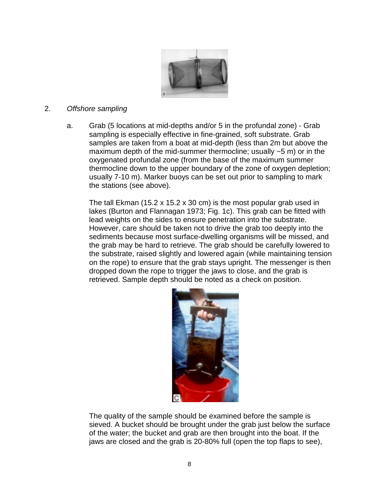

#### 2. *Offshore sampling*

a. Grab (5 locations at mid-depths and/or 5 in the profundal zone) - Grab sampling is especially effective in fine-grained, soft substrate. Grab samples are taken from a boat at mid-depth (less than 2m but above the maximum depth of the mid-summer thermocline; usually  $\sim$  5 m) or in the oxygenated profundal zone (from the base of the maximum summer thermocline down to the upper boundary of the zone of oxygen depletion; usually 7-10 m). Marker buoys can be set out prior to sampling to mark the stations (see above).

The tall Ekman (15.2 x 15.2 x 30 cm) is the most popular grab used in lakes (Burton and Flannagan 1973; Fig. 1c). This grab can be fitted with lead weights on the sides to ensure penetration into the substrate. However, care should be taken not to drive the grab too deeply into the sediments because most surface-dwelling organisms will be missed, and the grab may be hard to retrieve. The grab should be carefully lowered to the substrate, raised slightly and lowered again (while maintaining tension on the rope) to ensure that the grab stays upright. The messenger is then dropped down the rope to trigger the jaws to close, and the grab is retrieved. Sample depth should be noted as a check on position.



The quality of the sample should be examined before the sample is sieved. A bucket should be brought under the grab just below the surface of the water; the bucket and grab are then brought into the boat. If the jaws are closed and the grab is 20-80% full (open the top flaps to see),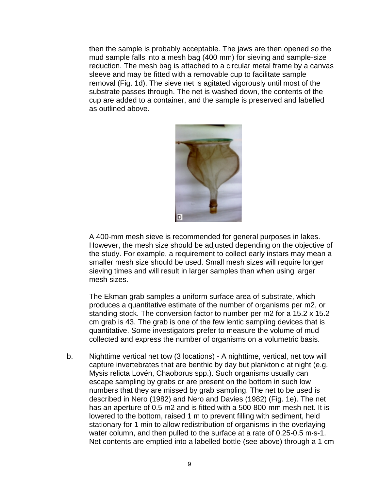then the sample is probably acceptable. The jaws are then opened so the mud sample falls into a mesh bag (400 mm) for sieving and sample-size reduction. The mesh bag is attached to a circular metal frame by a canvas sleeve and may be fitted with a removable cup to facilitate sample removal (Fig. 1d). The sieve net is agitated vigorously until most of the substrate passes through. The net is washed down, the contents of the cup are added to a container, and the sample is preserved and labelled as outlined above.



A 400-mm mesh sieve is recommended for general purposes in lakes. However, the mesh size should be adjusted depending on the objective of the study. For example, a requirement to collect early instars may mean a smaller mesh size should be used. Small mesh sizes will require longer sieving times and will result in larger samples than when using larger mesh sizes.

The Ekman grab samples a uniform surface area of substrate, which produces a quantitative estimate of the number of organisms per m2, or standing stock. The conversion factor to number per m2 for a 15.2 x 15.2 cm grab is 43. The grab is one of the few lentic sampling devices that is quantitative. Some investigators prefer to measure the volume of mud collected and express the number of organisms on a volumetric basis.

b. Nighttime vertical net tow (3 locations) - A nighttime, vertical, net tow will capture invertebrates that are benthic by day but planktonic at night (e.g. Mysis relicta Lovén, Chaoborus spp.). Such organisms usually can escape sampling by grabs or are present on the bottom in such low numbers that they are missed by grab sampling. The net to be used is described in Nero (1982) and Nero and Davies (1982) (Fig. 1e). The net has an aperture of 0.5 m2 and is fitted with a 500-800-mm mesh net. It is lowered to the bottom, raised 1 m to prevent filling with sediment, held stationary for 1 min to allow redistribution of organisms in the overlaying water column, and then pulled to the surface at a rate of 0.25-0.5 m·s-1. Net contents are emptied into a labelled bottle (see above) through a 1 cm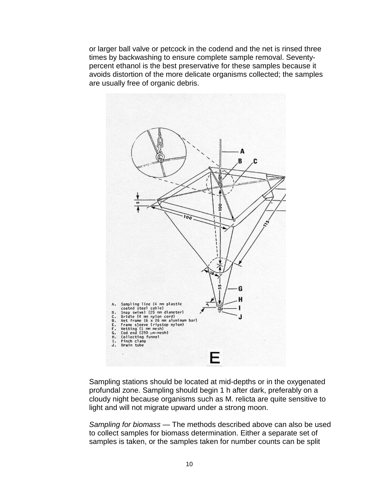or larger ball valve or petcock in the codend and the net is rinsed three times by backwashing to ensure complete sample removal. Seventypercent ethanol is the best preservative for these samples because it avoids distortion of the more delicate organisms collected; the samples are usually free of organic debris.



Sampling stations should be located at mid-depths or in the oxygenated profundal zone. Sampling should begin 1 h after dark, preferably on a cloudy night because organisms such as M. relicta are quite sensitive to light and will not migrate upward under a strong moon.

*Sampling for biomass* — The methods described above can also be used to collect samples for biomass determination. Either a separate set of samples is taken, or the samples taken for number counts can be split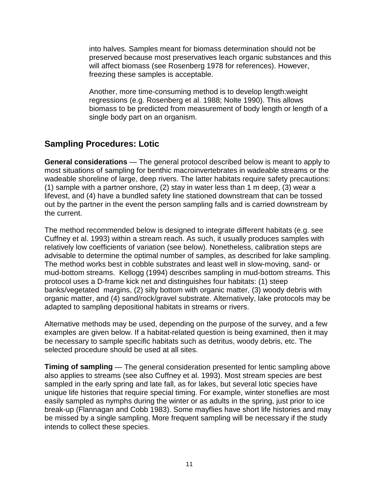into halves. Samples meant for biomass determination should not be preserved because most preservatives leach organic substances and this will affect biomass (see Rosenberg 1978 for references). However, freezing these samples is acceptable.

Another, more time-consuming method is to develop length:weight regressions (e.g. Rosenberg et al. 1988; Nolte 1990). This allows biomass to be predicted from measurement of body length or length of a single body part on an organism.

## **Sampling Procedures: Lotic**

**General considerations** — The general protocol described below is meant to apply to most situations of sampling for benthic macroinvertebrates in wadeable streams or the wadeable shoreline of large, deep rivers. The latter habitats require safety precautions: (1) sample with a partner onshore, (2) stay in water less than 1 m deep, (3) wear a lifevest, and (4) have a bundled safety line stationed downstream that can be tossed out by the partner in the event the person sampling falls and is carried downstream by the current.

The method recommended below is designed to integrate different habitats (e.g. see Cuffney et al. 1993) within a stream reach. As such, it usually produces samples with relatively low coefficients of variation (see below). Nonetheless, calibration steps are advisable to determine the optimal number of samples, as described for lake sampling. The method works best in cobble substrates and least well in slow-moving, sand- or mud-bottom streams. Kellogg (1994) describes sampling in mud-bottom streams. This protocol uses a D-frame kick net and distinguishes four habitats: (1) steep banks/vegetated margins, (2) silty bottom with organic matter, (3) woody debris with organic matter, and (4) sand/rock/gravel substrate. Alternatively, lake protocols may be adapted to sampling depositional habitats in streams or rivers.

Alternative methods may be used, depending on the purpose of the survey, and a few examples are given below. If a habitat-related question is being examined, then it may be necessary to sample specific habitats such as detritus, woody debris, etc. The selected procedure should be used at all sites.

**Timing of sampling** — The general consideration presented for lentic sampling above also applies to streams (see also Cuffney et al. 1993). Most stream species are best sampled in the early spring and late fall, as for lakes, but several lotic species have unique life histories that require special timing. For example, winter stoneflies are most easily sampled as nymphs during the winter or as adults in the spring, just prior to ice break-up (Flannagan and Cobb 1983). Some mayflies have short life histories and may be missed by a single sampling. More frequent sampling will be necessary if the study intends to collect these species.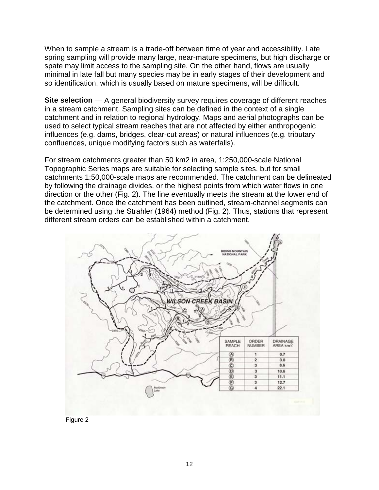When to sample a stream is a trade-off between time of year and accessibility. Late spring sampling will provide many large, near-mature specimens, but high discharge or spate may limit access to the sampling site. On the other hand, flows are usually minimal in late fall but many species may be in early stages of their development and so identification, which is usually based on mature specimens, will be difficult.

**Site selection** — A general biodiversity survey requires coverage of different reaches in a stream catchment. Sampling sites can be defined in the context of a single catchment and in relation to regional hydrology. Maps and aerial photographs can be used to select typical stream reaches that are not affected by either anthropogenic influences (e.g. dams, bridges, clear-cut areas) or natural influences (e.g. tributary confluences, unique modifying factors such as waterfalls).

For stream catchments greater than 50 km2 in area, 1:250,000-scale National Topographic Series maps are suitable for selecting sample sites, but for small catchments 1:50,000-scale maps are recommended. The catchment can be delineated by following the drainage divides, or the highest points from which water flows in one direction or the other (Fig. 2). The line eventually meets the stream at the lower end of the catchment. Once the catchment has been outlined, stream-channel segments can be determined using the Strahler (1964) method (Fig. 2). Thus, stations that represent different stream orders can be established within a catchment.



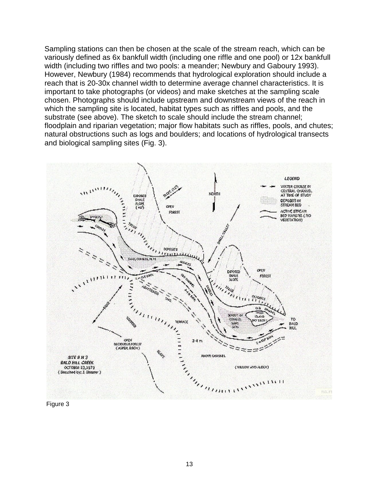Sampling stations can then be chosen at the scale of the stream reach, which can be variously defined as 6x bankfull width (including one riffle and one pool) or 12x bankfull width (including two riffles and two pools: a meander; Newbury and Gaboury 1993). However, Newbury (1984) recommends that hydrological exploration should include a reach that is 20-30x channel width to determine average channel characteristics. It is important to take photographs (or videos) and make sketches at the sampling scale chosen. Photographs should include upstream and downstream views of the reach in which the sampling site is located, habitat types such as riffles and pools, and the substrate (see above). The sketch to scale should include the stream channel; floodplain and riparian vegetation; major flow habitats such as riffles, pools, and chutes; natural obstructions such as logs and boulders; and locations of hydrological transects and biological sampling sites (Fig. 3).



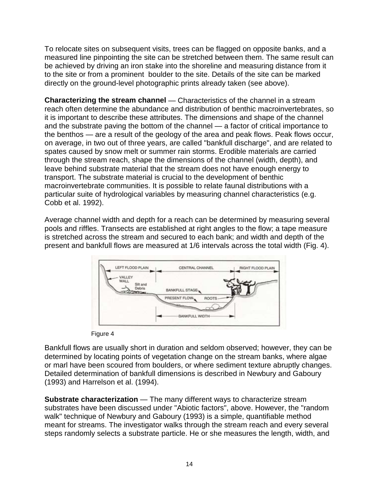To relocate sites on subsequent visits, trees can be flagged on opposite banks, and a measured line pinpointing the site can be stretched between them. The same result can be achieved by driving an iron stake into the shoreline and measuring distance from it to the site or from a prominent boulder to the site. Details of the site can be marked directly on the ground-level photographic prints already taken (see above).

**Characterizing the stream channel** — Characteristics of the channel in a stream reach often determine the abundance and distribution of benthic macroinvertebrates, so it is important to describe these attributes. The dimensions and shape of the channel and the substrate paving the bottom of the channel — a factor of critical importance to the benthos — are a result of the geology of the area and peak flows. Peak flows occur, on average, in two out of three years, are called "bankfull discharge", and are related to spates caused by snow melt or summer rain storms. Erodible materials are carried through the stream reach, shape the dimensions of the channel (width, depth), and leave behind substrate material that the stream does not have enough energy to transport. The substrate material is crucial to the development of benthic macroinvertebrate communities. It is possible to relate faunal distributions with a particular suite of hydrological variables by measuring channel characteristics (e.g. Cobb et al. 1992).

Average channel width and depth for a reach can be determined by measuring several pools and riffles. Transects are established at right angles to the flow; a tape measure is stretched across the stream and secured to each bank; and width and depth of the present and bankfull flows are measured at 1/6 intervals across the total width (Fig. 4).



Figure 4

Bankfull flows are usually short in duration and seldom observed; however, they can be determined by locating points of vegetation change on the stream banks, where algae or marl have been scoured from boulders, or where sediment texture abruptly changes. Detailed determination of bankfull dimensions is described in Newbury and Gaboury (1993) and Harrelson et al. (1994).

**Substrate characterization** — The many different ways to characterize stream substrates have been discussed under "Abiotic factors", above. However, the "random walk" technique of Newbury and Gaboury (1993) is a simple, quantifiable method meant for streams. The investigator walks through the stream reach and every several steps randomly selects a substrate particle. He or she measures the length, width, and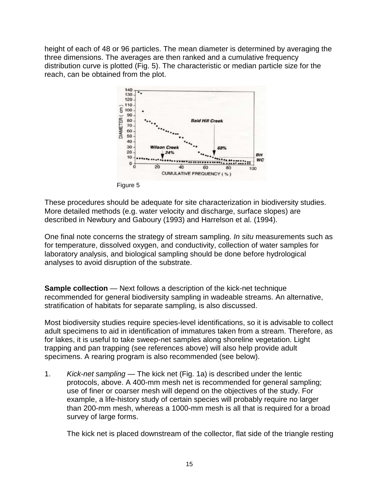height of each of 48 or 96 particles. The mean diameter is determined by averaging the three dimensions. The averages are then ranked and a cumulative frequency distribution curve is plotted (Fig. 5). The characteristic or median particle size for the reach, can be obtained from the plot.



Figure 5

These procedures should be adequate for site characterization in biodiversity studies. More detailed methods (e.g. water velocity and discharge, surface slopes) are described in Newbury and Gaboury (1993) and Harrelson et al. (1994).

One final note concerns the strategy of stream sampling. *In situ* measurements such as for temperature, dissolved oxygen, and conductivity, collection of water samples for laboratory analysis, and biological sampling should be done before hydrological analyses to avoid disruption of the substrate.

**Sample collection** — Next follows a description of the kick-net technique recommended for general biodiversity sampling in wadeable streams. An alternative, stratification of habitats for separate sampling, is also discussed.

Most biodiversity studies require species-level identifications, so it is advisable to collect adult specimens to aid in identification of immatures taken from a stream. Therefore, as for lakes, it is useful to take sweep-net samples along shoreline vegetation. Light trapping and pan trapping (see references above) will also help provide adult specimens. A rearing program is also recommended (see below).

1. *Kick-net sampling* — The kick net (Fig. 1a) is described under the lentic protocols, above. A 400-mm mesh net is recommended for general sampling; use of finer or coarser mesh will depend on the objectives of the study. For example, a life-history study of certain species will probably require no larger than 200-mm mesh, whereas a 1000-mm mesh is all that is required for a broad survey of large forms.

The kick net is placed downstream of the collector, flat side of the triangle resting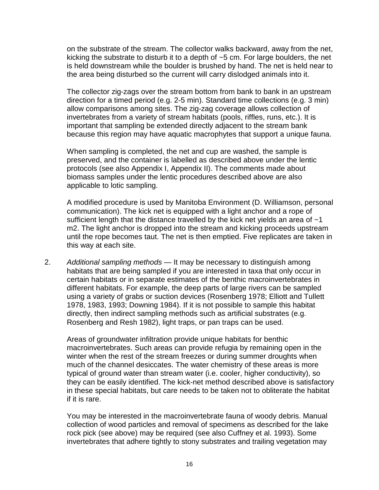on the substrate of the stream. The collector walks backward, away from the net, kicking the substrate to disturb it to a depth of ~5 cm. For large boulders, the net is held downstream while the boulder is brushed by hand. The net is held near to the area being disturbed so the current will carry dislodged animals into it.

 The collector zig-zags over the stream bottom from bank to bank in an upstream direction for a timed period (e.g. 2-5 min). Standard time collections (e.g. 3 min) allow comparisons among sites. The zig-zag coverage allows collection of invertebrates from a variety of stream habitats (pools, riffles, runs, etc.). It is important that sampling be extended directly adjacent to the stream bank because this region may have aquatic macrophytes that support a unique fauna.

 When sampling is completed, the net and cup are washed, the sample is preserved, and the container is labelled as described above under the lentic protocols (see also Appendix I, Appendix II). The comments made about biomass samples under the lentic procedures described above are also applicable to lotic sampling.

 A modified procedure is used by Manitoba Environment (D. Williamson, personal communication). The kick net is equipped with a light anchor and a rope of sufficient length that the distance travelled by the kick net yields an area of  $~1$ m2. The light anchor is dropped into the stream and kicking proceeds upstream until the rope becomes taut. The net is then emptied. Five replicates are taken in this way at each site.

2. *Additional sampling methods* — It may be necessary to distinguish among habitats that are being sampled if you are interested in taxa that only occur in certain habitats or in separate estimates of the benthic macroinvertebrates in different habitats. For example, the deep parts of large rivers can be sampled using a variety of grabs or suction devices (Rosenberg 1978; Elliott and Tullett 1978, 1983, 1993; Downing 1984). If it is not possible to sample this habitat directly, then indirect sampling methods such as artificial substrates (e.g. Rosenberg and Resh 1982), light traps, or pan traps can be used.

 Areas of groundwater infiltration provide unique habitats for benthic macroinvertebrates. Such areas can provide refugia by remaining open in the winter when the rest of the stream freezes or during summer droughts when much of the channel desiccates. The water chemistry of these areas is more typical of ground water than stream water (i.e. cooler, higher conductivity), so they can be easily identified. The kick-net method described above is satisfactory in these special habitats, but care needs to be taken not to obliterate the habitat if it is rare.

 You may be interested in the macroinvertebrate fauna of woody debris. Manual collection of wood particles and removal of specimens as described for the lake rock pick (see above) may be required (see also Cuffney et al. 1993). Some invertebrates that adhere tightly to stony substrates and trailing vegetation may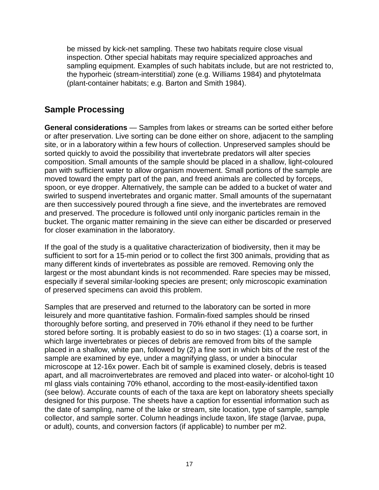be missed by kick-net sampling. These two habitats require close visual inspection. Other special habitats may require specialized approaches and sampling equipment. Examples of such habitats include, but are not restricted to, the hyporheic (stream-interstitial) zone (e.g. Williams 1984) and phytotelmata (plant-container habitats; e.g. Barton and Smith 1984).

## **Sample Processing**

**General considerations** — Samples from lakes or streams can be sorted either before or after preservation. Live sorting can be done either on shore, adjacent to the sampling site, or in a laboratory within a few hours of collection. Unpreserved samples should be sorted quickly to avoid the possibility that invertebrate predators will alter species composition. Small amounts of the sample should be placed in a shallow, light-coloured pan with sufficient water to allow organism movement. Small portions of the sample are moved toward the empty part of the pan, and freed animals are collected by forceps, spoon, or eye dropper. Alternatively, the sample can be added to a bucket of water and swirled to suspend invertebrates and organic matter. Small amounts of the supernatant are then successively poured through a fine sieve, and the invertebrates are removed and preserved. The procedure is followed until only inorganic particles remain in the bucket. The organic matter remaining in the sieve can either be discarded or preserved for closer examination in the laboratory.

If the goal of the study is a qualitative characterization of biodiversity, then it may be sufficient to sort for a 15-min period or to collect the first 300 animals, providing that as many different kinds of invertebrates as possible are removed. Removing only the largest or the most abundant kinds is not recommended. Rare species may be missed, especially if several similar-looking species are present; only microscopic examination of preserved specimens can avoid this problem.

Samples that are preserved and returned to the laboratory can be sorted in more leisurely and more quantitative fashion. Formalin-fixed samples should be rinsed thoroughly before sorting, and preserved in 70% ethanol if they need to be further stored before sorting. It is probably easiest to do so in two stages: (1) a coarse sort, in which large invertebrates or pieces of debris are removed from bits of the sample placed in a shallow, white pan, followed by (2) a fine sort in which bits of the rest of the sample are examined by eye, under a magnifying glass, or under a binocular microscope at 12-16x power. Each bit of sample is examined closely, debris is teased apart, and all macroinvertebrates are removed and placed into water- or alcohol-tight 10 ml glass vials containing 70% ethanol, according to the most-easily-identified taxon (see below). Accurate counts of each of the taxa are kept on laboratory sheets specially designed for this purpose. The sheets have a caption for essential information such as the date of sampling, name of the lake or stream, site location, type of sample, sample collector, and sample sorter. Column headings include taxon, life stage (larvae, pupa, or adult), counts, and conversion factors (if applicable) to number per m2.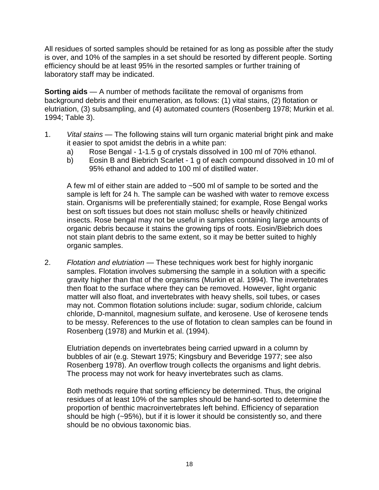All residues of sorted samples should be retained for as long as possible after the study is over, and 10% of the samples in a set should be resorted by different people. Sorting efficiency should be at least 95% in the resorted samples or further training of laboratory staff may be indicated.

**Sorting aids** — A number of methods facilitate the removal of organisms from background debris and their enumeration, as follows: (1) vital stains, (2) flotation or elutriation, (3) subsampling, and (4) automated counters (Rosenberg 1978; Murkin et al. 1994; Table 3).

- 1. *Vital stains* The following stains will turn organic material bright pink and make it easier to spot amidst the debris in a white pan:
	- a) Rose Bengal 1-1.5 g of crystals dissolved in 100 ml of 70% ethanol.
	- b) Eosin B and Biebrich Scarlet 1 g of each compound dissolved in 10 ml of 95% ethanol and added to 100 ml of distilled water.

 A few ml of either stain are added to ~500 ml of sample to be sorted and the sample is left for 24 h. The sample can be washed with water to remove excess stain. Organisms will be preferentially stained; for example, Rose Bengal works best on soft tissues but does not stain mollusc shells or heavily chitinized insects. Rose bengal may not be useful in samples containing large amounts of organic debris because it stains the growing tips of roots. Eosin/Biebrich does not stain plant debris to the same extent, so it may be better suited to highly organic samples.

2. *Flotation and elutriation* — These techniques work best for highly inorganic samples. Flotation involves submersing the sample in a solution with a specific gravity higher than that of the organisms (Murkin et al. 1994). The invertebrates then float to the surface where they can be removed. However, light organic matter will also float, and invertebrates with heavy shells, soil tubes, or cases may not. Common flotation solutions include: sugar, sodium chloride, calcium chloride, D-mannitol, magnesium sulfate, and kerosene. Use of kerosene tends to be messy. References to the use of flotation to clean samples can be found in Rosenberg (1978) and Murkin et al. (1994).

 Elutriation depends on invertebrates being carried upward in a column by bubbles of air (e.g. Stewart 1975; Kingsbury and Beveridge 1977; see also Rosenberg 1978). An overflow trough collects the organisms and light debris. The process may not work for heavy invertebrates such as clams.

 Both methods require that sorting efficiency be determined. Thus, the original residues of at least 10% of the samples should be hand-sorted to determine the proportion of benthic macroinvertebrates left behind. Efficiency of separation should be high (~95%), but if it is lower it should be consistently so, and there should be no obvious taxonomic bias.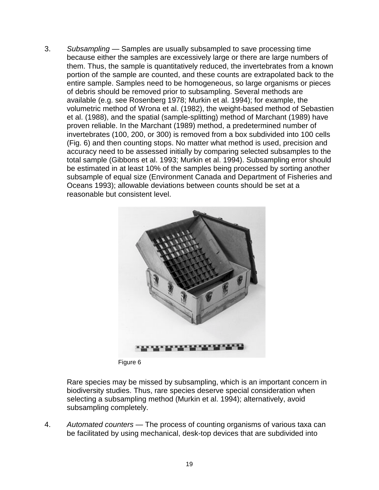3. *Subsampling* — Samples are usually subsampled to save processing time because either the samples are excessively large or there are large numbers of them. Thus, the sample is quantitatively reduced, the invertebrates from a known portion of the sample are counted, and these counts are extrapolated back to the entire sample. Samples need to be homogeneous, so large organisms or pieces of debris should be removed prior to subsampling. Several methods are available (e.g. see Rosenberg 1978; Murkin et al. 1994); for example, the volumetric method of Wrona et al. (1982), the weight-based method of Sebastien et al. (1988), and the spatial (sample-splitting) method of Marchant (1989) have proven reliable. In the Marchant (1989) method, a predetermined number of invertebrates (100, 200, or 300) is removed from a box subdivided into 100 cells (Fig. 6) and then counting stops. No matter what method is used, precision and accuracy need to be assessed initially by comparing selected subsamples to the total sample (Gibbons et al. 1993; Murkin et al. 1994). Subsampling error should be estimated in at least 10% of the samples being processed by sorting another subsample of equal size (Environment Canada and Department of Fisheries and Oceans 1993); allowable deviations between counts should be set at a reasonable but consistent level.



Figure 6

 Rare species may be missed by subsampling, which is an important concern in biodiversity studies. Thus, rare species deserve special consideration when selecting a subsampling method (Murkin et al. 1994); alternatively, avoid subsampling completely.

4. *Automated counters* — The process of counting organisms of various taxa can be facilitated by using mechanical, desk-top devices that are subdivided into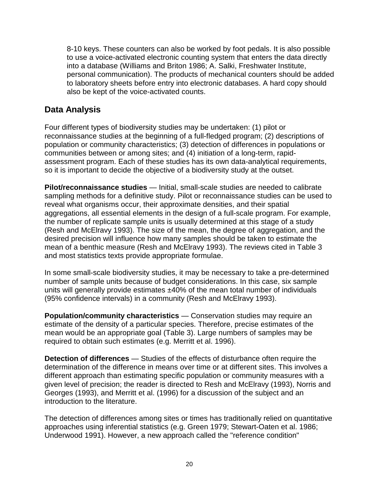8-10 keys. These counters can also be worked by foot pedals. It is also possible to use a voice-activated electronic counting system that enters the data directly into a database (Williams and Briton 1986; A. Salki, Freshwater Institute, personal communication). The products of mechanical counters should be added to laboratory sheets before entry into electronic databases. A hard copy should also be kept of the voice-activated counts.

## **Data Analysis**

Four different types of biodiversity studies may be undertaken: (1) pilot or reconnaissance studies at the beginning of a full-fledged program; (2) descriptions of population or community characteristics; (3) detection of differences in populations or communities between or among sites; and (4) initiation of a long-term, rapidassessment program. Each of these studies has its own data-analytical requirements, so it is important to decide the objective of a biodiversity study at the outset.

**Pilot/reconnaissance studies** — Initial, small-scale studies are needed to calibrate sampling methods for a definitive study. Pilot or reconnaissance studies can be used to reveal what organisms occur, their approximate densities, and their spatial aggregations, all essential elements in the design of a full-scale program. For example, the number of replicate sample units is usually determined at this stage of a study (Resh and McElravy 1993). The size of the mean, the degree of aggregation, and the desired precision will influence how many samples should be taken to estimate the mean of a benthic measure (Resh and McElravy 1993). The reviews cited in Table 3 and most statistics texts provide appropriate formulae.

In some small-scale biodiversity studies, it may be necessary to take a pre-determined number of sample units because of budget considerations. In this case, six sample units will generally provide estimates ±40% of the mean total number of individuals (95% confidence intervals) in a community (Resh and McElravy 1993).

**Population/community characteristics** — Conservation studies may require an estimate of the density of a particular species. Therefore, precise estimates of the mean would be an appropriate goal (Table 3). Large numbers of samples may be required to obtain such estimates (e.g. Merritt et al. 1996).

**Detection of differences** — Studies of the effects of disturbance often require the determination of the difference in means over time or at different sites. This involves a different approach than estimating specific population or community measures with a given level of precision; the reader is directed to Resh and McElravy (1993), Norris and Georges (1993), and Merritt et al. (1996) for a discussion of the subject and an introduction to the literature.

The detection of differences among sites or times has traditionally relied on quantitative approaches using inferential statistics (e.g. Green 1979; Stewart-Oaten et al. 1986; Underwood 1991). However, a new approach called the "reference condition"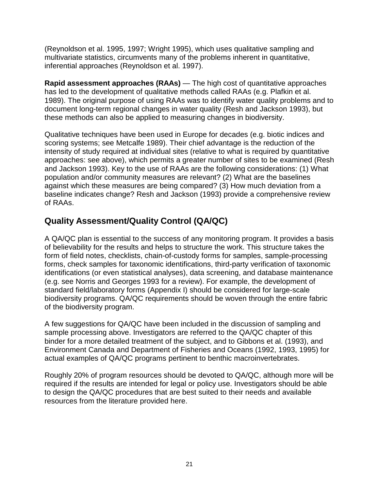(Reynoldson et al. 1995, 1997; Wright 1995), which uses qualitative sampling and multivariate statistics, circumvents many of the problems inherent in quantitative, inferential approaches (Reynoldson et al. 1997).

**Rapid assessment approaches (RAAs)** — The high cost of quantitative approaches has led to the development of qualitative methods called RAAs (e.g. Plafkin et al. 1989). The original purpose of using RAAs was to identify water quality problems and to document long-term regional changes in water quality (Resh and Jackson 1993), but these methods can also be applied to measuring changes in biodiversity.

Qualitative techniques have been used in Europe for decades (e.g. biotic indices and scoring systems; see Metcalfe 1989). Their chief advantage is the reduction of the intensity of study required at individual sites (relative to what is required by quantitative approaches: see above), which permits a greater number of sites to be examined (Resh and Jackson 1993). Key to the use of RAAs are the following considerations: (1) What population and/or community measures are relevant? (2) What are the baselines against which these measures are being compared? (3) How much deviation from a baseline indicates change? Resh and Jackson (1993) provide a comprehensive review of RAAs.

## **Quality Assessment/Quality Control (QA/QC)**

A QA/QC plan is essential to the success of any monitoring program. It provides a basis of believability for the results and helps to structure the work. This structure takes the form of field notes, checklists, chain-of-custody forms for samples, sample-processing forms, check samples for taxonomic identifications, third-party verification of taxonomic identifications (or even statistical analyses), data screening, and database maintenance (e.g. see Norris and Georges 1993 for a review). For example, the development of standard field/laboratory forms (Appendix I) should be considered for large-scale biodiversity programs. QA/QC requirements should be woven through the entire fabric of the biodiversity program.

A few suggestions for QA/QC have been included in the discussion of sampling and sample processing above. Investigators are referred to the QA/QC chapter of this binder for a more detailed treatment of the subject, and to Gibbons et al. (1993), and Environment Canada and Department of Fisheries and Oceans (1992, 1993, 1995) for actual examples of QA/QC programs pertinent to benthic macroinvertebrates.

Roughly 20% of program resources should be devoted to QA/QC, although more will be required if the results are intended for legal or policy use. Investigators should be able to design the QA/QC procedures that are best suited to their needs and available resources from the literature provided here.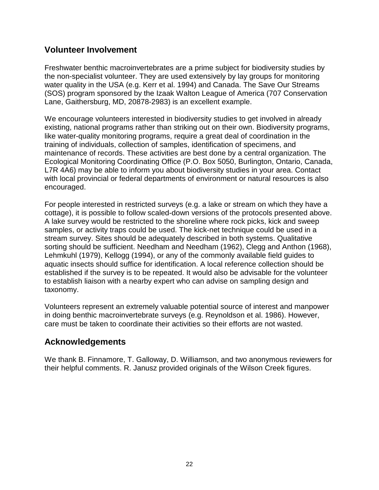## **Volunteer Involvement**

Freshwater benthic macroinvertebrates are a prime subject for biodiversity studies by the non-specialist volunteer. They are used extensively by lay groups for monitoring water quality in the USA (e.g. Kerr et al. 1994) and Canada. The Save Our Streams (SOS) program sponsored by the Izaak Walton League of America (707 Conservation Lane, Gaithersburg, MD, 20878-2983) is an excellent example.

We encourage volunteers interested in biodiversity studies to get involved in already existing, national programs rather than striking out on their own. Biodiversity programs, like water-quality monitoring programs, require a great deal of coordination in the training of individuals, collection of samples, identification of specimens, and maintenance of records. These activities are best done by a central organization. The Ecological Monitoring Coordinating Office (P.O. Box 5050, Burlington, Ontario, Canada, L7R 4A6) may be able to inform you about biodiversity studies in your area. Contact with local provincial or federal departments of environment or natural resources is also encouraged.

For people interested in restricted surveys (e.g. a lake or stream on which they have a cottage), it is possible to follow scaled-down versions of the protocols presented above. A lake survey would be restricted to the shoreline where rock picks, kick and sweep samples, or activity traps could be used. The kick-net technique could be used in a stream survey. Sites should be adequately described in both systems. Qualitative sorting should be sufficient. Needham and Needham (1962), Clegg and Anthon (1968), Lehmkuhl (1979), Kellogg (1994), or any of the commonly available field guides to aquatic insects should suffice for identification. A local reference collection should be established if the survey is to be repeated. It would also be advisable for the volunteer to establish liaison with a nearby expert who can advise on sampling design and taxonomy.

Volunteers represent an extremely valuable potential source of interest and manpower in doing benthic macroinvertebrate surveys (e.g. Reynoldson et al. 1986). However, care must be taken to coordinate their activities so their efforts are not wasted.

### **Acknowledgements**

We thank B. Finnamore, T. Galloway, D. Williamson, and two anonymous reviewers for their helpful comments. R. Janusz provided originals of the Wilson Creek figures.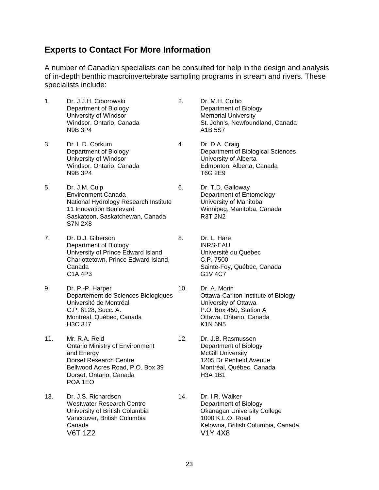#### **Experts to Contact For More Information**

A number of Canadian specialists can be consulted for help in the design and analysis of in-depth benthic macroinvertebrate sampling programs in stream and rivers. These specialists include:

- 1. Dr. J.J.H. Ciborowski 2. Dr. M.H. Colbo Department of Biology **Department of Biology** University of Windsor **Memorial University** N9B 3P4 A1B 5S7
- 3. Dr. L.D. Corkum 4. Dr. D.A. Craig University of Windsor **University of Alberta** N9B 3P4 T6G 2E9
- 5. Dr. J.M. Culp 6. Dr. T.D. Galloway Environment Canada **Department of Entomology** National Hydrology Research Institute University of Manitoba 11 Innovation Boulevard Winnipeg, Manitoba, Canada Saskatoon, Saskatchewan, Canada R3T 2N2 S7N 2X8
- 7. Dr. D.J. Giberson 8. Dr. L. Hare Department of Biology **INRS-EAU** University of Prince Edward Island Université du Québec Charlottetown, Prince Edward Island, C.P. 7500 Canada Sainte-Foy, Québec, Canada
- 9. Dr. P.-P. Harper 10. Dr. A. Morin Departement de Sciences Biologiques **Cancel Container Carlton Institute of Biology**<br>University of Ottawa<br>Chiversity of Ottawa Université de Montréal C.P. 6128, Succ. A. P.O. Box 450, Station A Montréal, Québec, Canada **Canada Canada** Ottawa, Ontario, Canada H3C 3J7 K1N 6N5
- 11. Mr. R.A. Reid 12. Dr. J.B. Rasmussen Ontario Ministry of Environment Department of Biology and Energy **McGill University** Dorset Research Centre 1205 Dr Penfield Avenue Bellwood Acres Road, P.O. Box 39 Montréal, Québec, Canada Dorset, Ontario, Canada H3A 1B1 POA 1EO
- 13. Dr. J.S. Richardson 14. Dr. I.R. Walker Westwater Research Centre **Department of Biology** University of British Columbia **Calumbia College** Okanagan University College Vancouver, British Columbia 1000 K.L.O. Road V6T 1Z2 V1Y 4X8
- Windsor, Ontario, Canada St. John's, Newfoundland, Canada
- Department of Biology Department of Biological Sciences Windsor, Ontario, Canada **Edmonton, Alberta, Canada** 
	- - G1V 4C7
	-
	-
- Canada **Kelowna, British Columbia, Canada**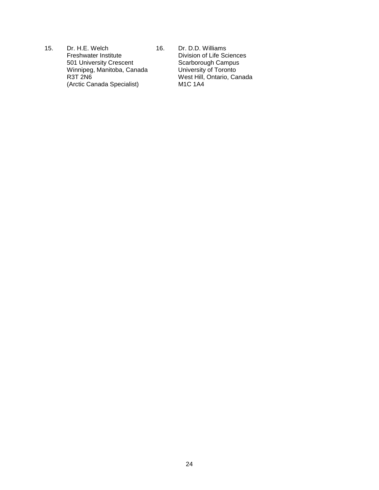15. Dr. H.E. Welch 16. Dr. D.D. Williams<br>Freshwater Institute 16. Division of Life Sc 501 University Crescent Winnipeg, Manitoba, Canada Winnipeg, Manitoba, Canada<br>
R3T 2N6 West Hill, Ontario, Canada<br>
(Arctic Canada Specialist) M1C 1A4 (Arctic Canada Specialist)

Division of Life Sciences<br>Scarborough Campus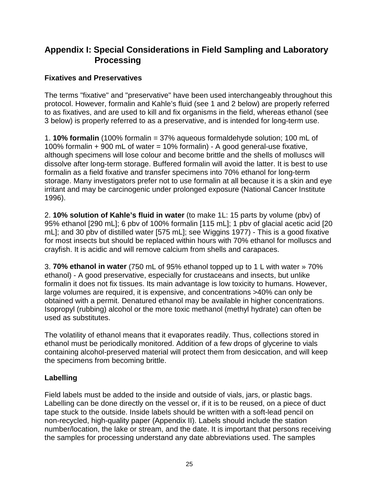## **Appendix I: Special Considerations in Field Sampling and Laboratory Processing**

#### **Fixatives and Preservatives**

The terms "fixative" and "preservative" have been used interchangeably throughout this protocol. However, formalin and Kahle's fluid (see 1 and 2 below) are properly referred to as fixatives, and are used to kill and fix organisms in the field, whereas ethanol (see 3 below) is properly referred to as a preservative, and is intended for long-term use.

1. **10% formalin** (100% formalin = 37% aqueous formaldehyde solution; 100 mL of 100% formalin + 900 mL of water = 10% formalin) - A good general-use fixative, although specimens will lose colour and become brittle and the shells of molluscs will dissolve after long-term storage. Buffered formalin will avoid the latter. It is best to use formalin as a field fixative and transfer specimens into 70% ethanol for long-term storage. Many investigators prefer not to use formalin at all because it is a skin and eye irritant and may be carcinogenic under prolonged exposure (National Cancer Institute 1996).

2. **10% solution of Kahle's fluid in water** (to make 1L: 15 parts by volume (pbv) of 95% ethanol [290 mL]; 6 pbv of 100% formalin [115 mL]; 1 pbv of glacial acetic acid [20 mL]; and 30 pbv of distilled water [575 mL]; see Wiggins 1977) - This is a good fixative for most insects but should be replaced within hours with 70% ethanol for molluscs and crayfish. It is acidic and will remove calcium from shells and carapaces.

3. **70% ethanol in water** (750 mL of 95% ethanol topped up to 1 L with water » 70% ethanol) - A good preservative, especially for crustaceans and insects, but unlike formalin it does not fix tissues. Its main advantage is low toxicity to humans. However, large volumes are required, it is expensive, and concentrations >40% can only be obtained with a permit. Denatured ethanol may be available in higher concentrations. Isopropyl (rubbing) alcohol or the more toxic methanol (methyl hydrate) can often be used as substitutes.

The volatility of ethanol means that it evaporates readily. Thus, collections stored in ethanol must be periodically monitored. Addition of a few drops of glycerine to vials containing alcohol-preserved material will protect them from desiccation, and will keep the specimens from becoming brittle.

#### **Labelling**

Field labels must be added to the inside and outside of vials, jars, or plastic bags. Labelling can be done directly on the vessel or, if it is to be reused, on a piece of duct tape stuck to the outside. Inside labels should be written with a soft-lead pencil on non-recycled, high-quality paper (Appendix II). Labels should include the station number/location, the lake or stream, and the date. It is important that persons receiving the samples for processing understand any date abbreviations used. The samples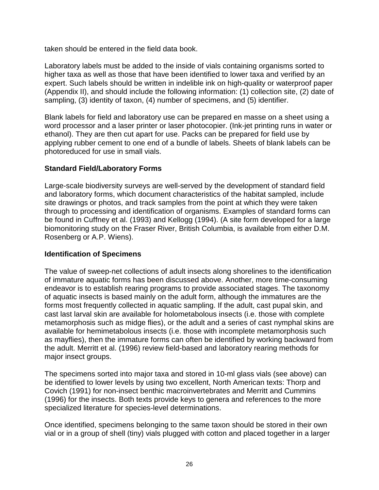taken should be entered in the field data book.

Laboratory labels must be added to the inside of vials containing organisms sorted to higher taxa as well as those that have been identified to lower taxa and verified by an expert. Such labels should be written in indelible ink on high-quality or waterproof paper (Appendix II), and should include the following information: (1) collection site, (2) date of sampling, (3) identity of taxon, (4) number of specimens, and (5) identifier.

Blank labels for field and laboratory use can be prepared en masse on a sheet using a word processor and a laser printer or laser photocopier. (Ink-jet printing runs in water or ethanol). They are then cut apart for use. Packs can be prepared for field use by applying rubber cement to one end of a bundle of labels. Sheets of blank labels can be photoreduced for use in small vials.

#### **Standard Field/Laboratory Forms**

Large-scale biodiversity surveys are well-served by the development of standard field and laboratory forms, which document characteristics of the habitat sampled, include site drawings or photos, and track samples from the point at which they were taken through to processing and identification of organisms. Examples of standard forms can be found in Cuffney et al. (1993) and Kellogg (1994). (A site form developed for a large biomonitoring study on the Fraser River, British Columbia, is available from either D.M. Rosenberg or A.P. Wiens).

#### **Identification of Specimens**

The value of sweep-net collections of adult insects along shorelines to the identification of immature aquatic forms has been discussed above. Another, more time-consuming endeavor is to establish rearing programs to provide associated stages. The taxonomy of aquatic insects is based mainly on the adult form, although the immatures are the forms most frequently collected in aquatic sampling. If the adult, cast pupal skin, and cast last larval skin are available for holometabolous insects (i.e. those with complete metamorphosis such as midge flies), or the adult and a series of cast nymphal skins are available for hemimetabolous insects (i.e. those with incomplete metamorphosis such as mayflies), then the immature forms can often be identified by working backward from the adult. Merritt et al. (1996) review field-based and laboratory rearing methods for major insect groups.

The specimens sorted into major taxa and stored in 10-ml glass vials (see above) can be identified to lower levels by using two excellent, North American texts: Thorp and Covich (1991) for non-insect benthic macroinvertebrates and Merritt and Cummins (1996) for the insects. Both texts provide keys to genera and references to the more specialized literature for species-level determinations.

Once identified, specimens belonging to the same taxon should be stored in their own vial or in a group of shell (tiny) vials plugged with cotton and placed together in a larger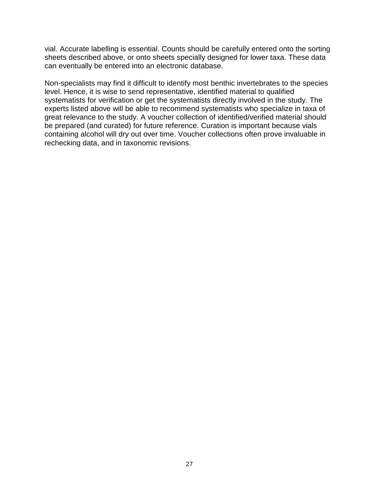vial. Accurate labelling is essential. Counts should be carefully entered onto the sorting sheets described above, or onto sheets specially designed for lower taxa. These data can eventually be entered into an electronic database.

Non-specialists may find it difficult to identify most benthic invertebrates to the species level. Hence, it is wise to send representative, identified material to qualified systematists for verification or get the systematists directly involved in the study. The experts listed above will be able to recommend systematists who specialize in taxa of great relevance to the study. A voucher collection of identified/verified material should be prepared (and curated) for future reference. Curation is important because vials containing alcohol will dry out over time. Voucher collections often prove invaluable in rechecking data, and in taxonomic revisions.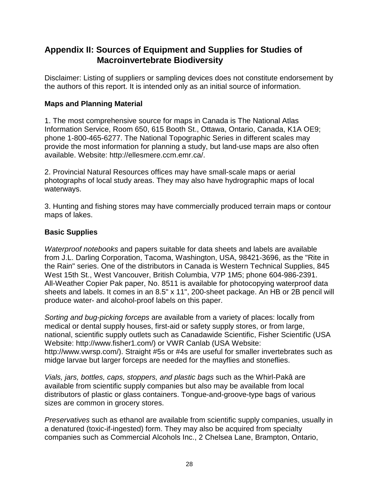## **Appendix II: Sources of Equipment and Supplies for Studies of Macroinvertebrate Biodiversity**

Disclaimer: Listing of suppliers or sampling devices does not constitute endorsement by the authors of this report. It is intended only as an initial source of information.

#### **Maps and Planning Material**

1. The most comprehensive source for maps in Canada is The National Atlas Information Service, Room 650, 615 Booth St., Ottawa, Ontario, Canada, K1A OE9; phone 1-800-465-6277. The National Topographic Series in different scales may provide the most information for planning a study, but land-use maps are also often available. Website: http://ellesmere.ccm.emr.ca/.

2. Provincial Natural Resources offices may have small-scale maps or aerial photographs of local study areas. They may also have hydrographic maps of local waterways.

3. Hunting and fishing stores may have commercially produced terrain maps or contour maps of lakes.

#### **Basic Supplies**

*Waterproof notebooks* and papers suitable for data sheets and labels are available from J.L. Darling Corporation, Tacoma, Washington, USA, 98421-3696, as the "Rite in the Rain" series. One of the distributors in Canada is Western Technical Supplies, 845 West 15th St., West Vancouver, British Columbia, V7P 1M5; phone 604-986-2391. All-Weather Copier Pak paper, No. 8511 is available for photocopying waterproof data sheets and labels. It comes in an 8.5" x 11", 200-sheet package. An HB or 2B pencil will produce water- and alcohol-proof labels on this paper.

*Sorting and bug-picking forceps* are available from a variety of places: locally from medical or dental supply houses, first-aid or safety supply stores, or from large, national, scientific supply outlets such as Canadawide Scientific, Fisher Scientific (USA Website: http://www.fisher1.com/) or VWR Canlab (USA Website: http://www.vwrsp.com/). Straight #5s or #4s are useful for smaller invertebrates such as midge larvae but larger forceps are needed for the mayflies and stoneflies.

*Vials, jars, bottles, caps, stoppers, and plastic bags* such as the Whirl-Pakâ are available from scientific supply companies but also may be available from local distributors of plastic or glass containers. Tongue-and-groove-type bags of various sizes are common in grocery stores.

*Preservatives* such as ethanol are available from scientific supply companies, usually in a denatured (toxic-if-ingested) form. They may also be acquired from specialty companies such as Commercial Alcohols Inc., 2 Chelsea Lane, Brampton, Ontario,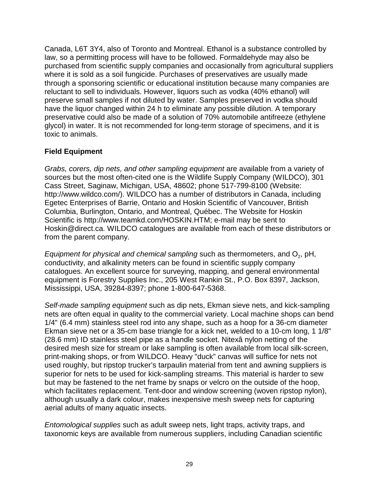Canada, L6T 3Y4, also of Toronto and Montreal. Ethanol is a substance controlled by law, so a permitting process will have to be followed. Formaldehyde may also be purchased from scientific supply companies and occasionally from agricultural suppliers where it is sold as a soil fungicide. Purchases of preservatives are usually made through a sponsoring scientific or educational institution because many companies are reluctant to sell to individuals. However, liquors such as vodka (40% ethanol) will preserve small samples if not diluted by water. Samples preserved in vodka should have the liquor changed within 24 h to eliminate any possible dilution. A temporary preservative could also be made of a solution of 70% automobile antifreeze (ethylene glycol) in water. It is not recommended for long-term storage of specimens, and it is toxic to animals.

#### **Field Equipment**

*Grabs, corers, dip nets, and other sampling equipment* are available from a variety of sources but the most often-cited one is the Wildlife Supply Company (WILDCO), 301 Cass Street, Saginaw, Michigan, USA, 48602; phone 517-799-8100 (Website: http://www.wildco.com/). WILDCO has a number of distributors in Canada, including Egetec Enterprises of Barrie, Ontario and Hoskin Scientific of Vancouver, British Columbia, Burlington, Ontario, and Montreal, Québec. The Website for Hoskin Scientific is http://www.teamkd.com/HOSKIN.HTM; e-mail may be sent to Hoskin@direct.ca. WILDCO catalogues are available from each of these distributors or from the parent company.

*Equipment for physical and chemical sampling* such as thermometers, and O<sub>2</sub>, pH, conductivity, and alkalinity meters can be found in scientific supply company catalogues. An excellent source for surveying, mapping, and general environmental equipment is Forestry Supplies Inc., 205 West Rankin St., P.O. Box 8397, Jackson, Mississippi, USA, 39284-8397; phone 1-800-647-5368.

*Self-made sampling equipment* such as dip nets, Ekman sieve nets, and kick-sampling nets are often equal in quality to the commercial variety. Local machine shops can bend 1/4" (6.4 mm) stainless steel rod into any shape, such as a hoop for a 36-cm diameter Ekman sieve net or a 35-cm base triangle for a kick net, welded to a 10-cm long, 1 1/8" (28.6 mm) ID stainless steel pipe as a handle socket. Nitexâ nylon netting of the desired mesh size for stream or lake sampling is often available from local silk-screen, print-making shops, or from WILDCO. Heavy "duck" canvas will suffice for nets not used roughly, but ripstop trucker's tarpaulin material from tent and awning suppliers is superior for nets to be used for kick-sampling streams. This material is harder to sew but may be fastened to the net frame by snaps or velcro on the outside of the hoop, which facilitates replacement. Tent-door and window screening (woven ripstop nylon), although usually a dark colour, makes inexpensive mesh sweep nets for capturing aerial adults of many aquatic insects.

*Entomological supplies* such as adult sweep nets, light traps, activity traps, and taxonomic keys are available from numerous suppliers, including Canadian scientific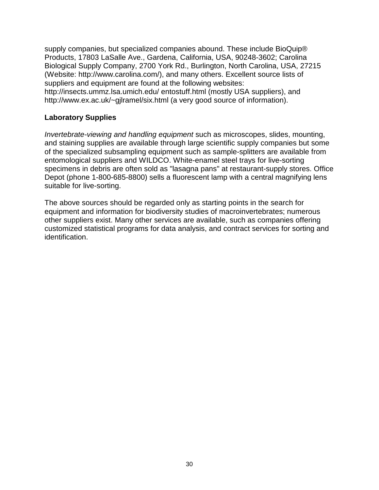supply companies, but specialized companies abound. These include BioQuip® Products, 17803 LaSalle Ave., Gardena, California, USA, 90248-3602; Carolina Biological Supply Company, 2700 York Rd., Burlington, North Carolina, USA, 27215 (Website: http://www.carolina.com/), and many others. Excellent source lists of suppliers and equipment are found at the following websites: http://insects.ummz.lsa.umich.edu/ entostuff.html (mostly USA suppliers), and http://www.ex.ac.uk/~gjlramel/six.html (a very good source of information).

#### **Laboratory Supplies**

*Invertebrate-viewing and handling equipment* such as microscopes, slides, mounting, and staining supplies are available through large scientific supply companies but some of the specialized subsampling equipment such as sample-splitters are available from entomological suppliers and WILDCO. White-enamel steel trays for live-sorting specimens in debris are often sold as "lasagna pans" at restaurant-supply stores. Office Depot (phone 1-800-685-8800) sells a fluorescent lamp with a central magnifying lens suitable for live-sorting.

The above sources should be regarded only as starting points in the search for equipment and information for biodiversity studies of macroinvertebrates; numerous other suppliers exist. Many other services are available, such as companies offering customized statistical programs for data analysis, and contract services for sorting and identification.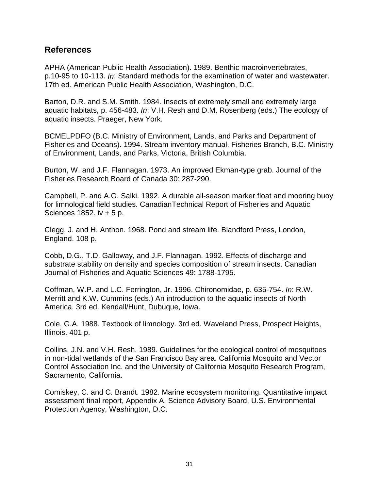#### **References**

APHA (American Public Health Association). 1989. Benthic macroinvertebrates, p.10-95 to 10-113. *In*: Standard methods for the examination of water and wastewater. 17th ed. American Public Health Association, Washington, D.C.

Barton, D.R. and S.M. Smith. 1984. Insects of extremely small and extremely large aquatic habitats, p. 456-483. *In*: V.H. Resh and D.M. Rosenberg (eds.) The ecology of aquatic insects. Praeger, New York.

BCMELPDFO (B.C. Ministry of Environment, Lands, and Parks and Department of Fisheries and Oceans). 1994. Stream inventory manual. Fisheries Branch, B.C. Ministry of Environment, Lands, and Parks, Victoria, British Columbia.

Burton, W. and J.F. Flannagan. 1973. An improved Ekman-type grab. Journal of the Fisheries Research Board of Canada 30: 287-290.

Campbell, P. and A.G. Salki. 1992. A durable all-season marker float and mooring buoy for limnological field studies. CanadianTechnical Report of Fisheries and Aquatic Sciences 1852. iv + 5 p.

Clegg, J. and H. Anthon. 1968. Pond and stream life. Blandford Press, London, England. 108 p.

Cobb, D.G., T.D. Galloway, and J.F. Flannagan. 1992. Effects of discharge and substrate stability on density and species composition of stream insects. Canadian Journal of Fisheries and Aquatic Sciences 49: 1788-1795.

Coffman, W.P. and L.C. Ferrington, Jr. 1996. Chironomidae, p. 635-754. *In*: R.W. Merritt and K.W. Cummins (eds.) An introduction to the aquatic insects of North America. 3rd ed. Kendall/Hunt, Dubuque, Iowa.

Cole, G.A. 1988. Textbook of limnology. 3rd ed. Waveland Press, Prospect Heights, Illinois. 401 p.

Collins, J.N. and V.H. Resh. 1989. Guidelines for the ecological control of mosquitoes in non-tidal wetlands of the San Francisco Bay area. California Mosquito and Vector Control Association Inc. and the University of California Mosquito Research Program, Sacramento, California.

Comiskey, C. and C. Brandt. 1982. Marine ecosystem monitoring. Quantitative impact assessment final report, Appendix A. Science Advisory Board, U.S. Environmental Protection Agency, Washington, D.C.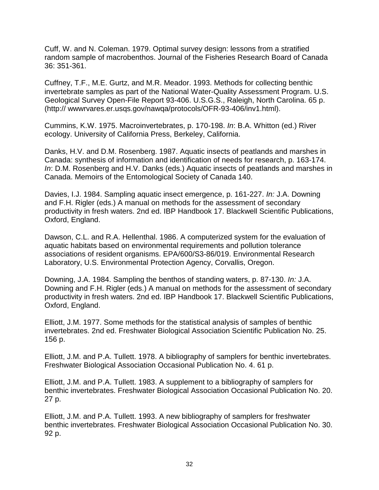Cuff, W. and N. Coleman. 1979. Optimal survey design: lessons from a stratified random sample of macrobenthos. Journal of the Fisheries Research Board of Canada 36: 351-361.

Cuffney, T.F., M.E. Gurtz, and M.R. Meador. 1993. Methods for collecting benthic invertebrate samples as part of the National Water-Quality Assessment Program. U.S. Geological Survey Open-File Report 93-406. U.S.G.S., Raleigh, North Carolina. 65 p. (http:// wwwrvares.er.usqs.gov/nawqa/protocols/OFR-93-406/inv1.html).

Cummins, K.W. 1975. Macroinvertebrates, p. 170-198. *In*: B.A. Whitton (ed.) River ecology. University of California Press, Berkeley, California.

Danks, H.V. and D.M. Rosenberg. 1987. Aquatic insects of peatlands and marshes in Canada: synthesis of information and identification of needs for research, p. 163-174. *In*: D.M. Rosenberg and H.V. Danks (eds.) Aquatic insects of peatlands and marshes in Canada. Memoirs of the Entomological Society of Canada 140.

Davies, I.J. 1984. Sampling aquatic insect emergence, p. 161-227. *In:* J.A. Downing and F.H. Rigler (eds.) A manual on methods for the assessment of secondary productivity in fresh waters. 2nd ed. IBP Handbook 17. Blackwell Scientific Publications, Oxford, England.

Dawson, C.L. and R.A. Hellenthal. 1986. A computerized system for the evaluation of aquatic habitats based on environmental requirements and pollution tolerance associations of resident organisms. EPA/600/S3-86/019. Environmental Research Laboratory, U.S. Environmental Protection Agency, Corvallis, Oregon.

Downing, J.A. 1984. Sampling the benthos of standing waters, p. 87-130. *In:* J.A. Downing and F.H. Rigler (eds.) A manual on methods for the assessment of secondary productivity in fresh waters. 2nd ed. IBP Handbook 17. Blackwell Scientific Publications, Oxford, England.

Elliott, J.M. 1977. Some methods for the statistical analysis of samples of benthic invertebrates. 2nd ed. Freshwater Biological Association Scientific Publication No. 25. 156 p.

Elliott, J.M. and P.A. Tullett. 1978. A bibliography of samplers for benthic invertebrates. Freshwater Biological Association Occasional Publication No. 4. 61 p.

Elliott, J.M. and P.A. Tullett. 1983. A supplement to a bibliography of samplers for benthic invertebrates. Freshwater Biological Association Occasional Publication No. 20. 27 p.

Elliott, J.M. and P.A. Tullett. 1993. A new bibliography of samplers for freshwater benthic invertebrates. Freshwater Biological Association Occasional Publication No. 30. 92 p.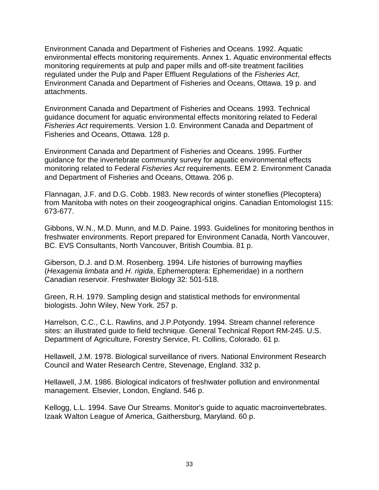Environment Canada and Department of Fisheries and Oceans. 1992. Aquatic environmental effects monitoring requirements. Annex 1. Aquatic environmental effects monitoring requirements at pulp and paper mills and off-site treatment facilities regulated under the Pulp and Paper Effluent Regulations of the *Fisheries Act*, Environment Canada and Department of Fisheries and Oceans, Ottawa. 19 p. and attachments.

Environment Canada and Department of Fisheries and Oceans. 1993. Technical guidance document for aquatic environmental effects monitoring related to Federal *Fisheries Act* requirements. Version 1.0. Environment Canada and Department of Fisheries and Oceans, Ottawa. 128 p.

Environment Canada and Department of Fisheries and Oceans. 1995. Further guidance for the invertebrate community survey for aquatic environmental effects monitoring related to Federal *Fisheries Act* requirements. EEM 2. Environment Canada and Department of Fisheries and Oceans, Ottawa. 206 p.

Flannagan, J.F. and D.G. Cobb. 1983. New records of winter stoneflies (Plecoptera) from Manitoba with notes on their zoogeographical origins. Canadian Entomologist 115: 673-677.

Gibbons, W.N., M.D. Munn, and M.D. Paine. 1993. Guidelines for monitoring benthos in freshwater environments. Report prepared for Environment Canada, North Vancouver, BC. EVS Consultants, North Vancouver, British Coumbia. 81 p.

Giberson, D.J. and D.M. Rosenberg. 1994. Life histories of burrowing mayflies (*Hexagenia limbata* and *H. rigida*, Ephemeroptera: Ephemeridae) in a northern Canadian reservoir. Freshwater Biology 32: 501-518.

Green, R.H. 1979. Sampling design and statistical methods for environmental biologists. John Wiley, New York. 257 p.

Harrelson, C.C., C.L. Rawlins, and J.P.Potyondy. 1994. Stream channel reference sites: an illustrated guide to field technique. General Technical Report RM-245. U.S. Department of Agriculture, Forestry Service, Ft. Collins, Colorado. 61 p.

Hellawell, J.M. 1978. Biological surveillance of rivers. National Environment Research Council and Water Research Centre, Stevenage, England. 332 p.

Hellawell, J.M. 1986. Biological indicators of freshwater pollution and environmental management. Elsevier, London, England. 546 p.

Kellogg, L.L. 1994. Save Our Streams. Monitor's guide to aquatic macroinvertebrates. Izaak Walton League of America, Gaithersburg, Maryland. 60 p.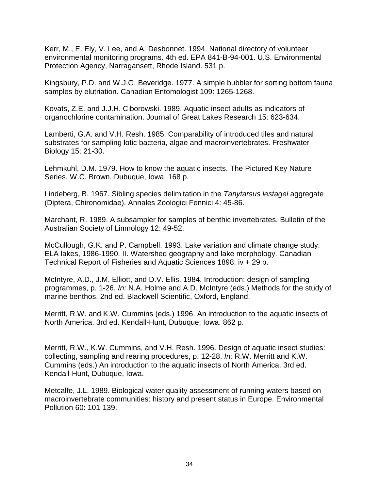Kerr, M., E. Ely, V. Lee, and A. Desbonnet. 1994. National directory of volunteer environmental monitoring programs. 4th ed. EPA 841-B-94-001. U.S. Environmental Protection Agency, Narragansett, Rhode Island. 531 p.

Kingsbury, P.D. and W.J.G. Beveridge. 1977. A simple bubbler for sorting bottom fauna samples by elutriation. Canadian Entomologist 109: 1265-1268.

Kovats, Z.E. and J.J.H. Ciborowski. 1989. Aquatic insect adults as indicators of organochlorine contamination. Journal of Great Lakes Research 15: 623-634.

Lamberti, G.A. and V.H. Resh. 1985. Comparability of introduced tiles and natural substrates for sampling lotic bacteria, algae and macroinvertebrates. Freshwater Biology 15: 21-30.

Lehmkuhl, D.M. 1979. How to know the aquatic insects. The Pictured Key Nature Series, W.C. Brown, Dubuque, Iowa. 168 p.

Lindeberg, B. 1967. Sibling species delimitation in the *Tanytarsus lestagei* aggregate (Diptera, Chironomidae). Annales Zoologici Fennici 4: 45-86.

Marchant, R. 1989. A subsampler for samples of benthic invertebrates. Bulletin of the Australian Society of Limnology 12: 49-52.

McCullough, G.K. and P. Campbell. 1993. Lake variation and climate change study: ELA lakes, 1986-1990. II. Watershed geography and lake morphology. Canadian Technical Report of Fisheries and Aquatic Sciences 1898: iv + 29 p.

McIntyre, A.D., J.M. Elliott, and D.V. Ellis. 1984. Introduction: design of sampling programmes, p. 1-26. *In:* N.A. Holme and A.D. McIntyre (eds.) Methods for the study of marine benthos. 2nd ed. Blackwell Scientific, Oxford, England.

Merritt, R.W. and K.W. Cummins (eds.) 1996. An introduction to the aquatic insects of North America. 3rd ed. Kendall-Hunt, Dubuque, Iowa. 862 p.

Merritt, R.W., K.W. Cummins, and V.H. Resh. 1996. Design of aquatic insect studies: collecting, sampling and rearing procedures, p. 12-28. *In:* R.W. Merritt and K.W. Cummins (eds.) An introduction to the aquatic insects of North America. 3rd ed. Kendall-Hunt, Dubuque, Iowa.

Metcalfe, J.L. 1989. Biological water quality assessment of running waters based on macroinvertebrate communities: history and present status in Europe. Environmental Pollution 60: 101-139.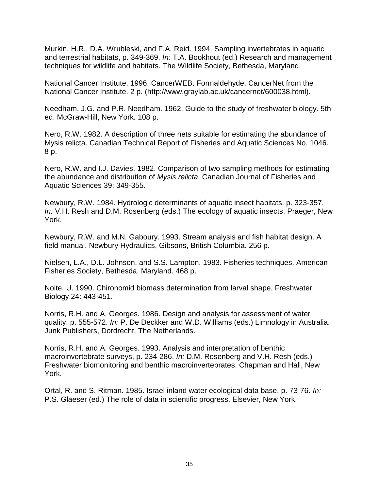Murkin, H.R., D.A. Wrubleski, and F.A. Reid. 1994. Sampling invertebrates in aquatic and terrestrial habitats, p. 349-369. *In:* T.A. Bookhout (ed.) Research and management techniques for wildlife and habitats. The Wildlife Society, Bethesda, Maryland.

National Cancer Institute. 1996. CancerWEB. Formaldehyde. CancerNet from the National Cancer Institute. 2 p. (http://www.graylab.ac.uk/cancernet/600038.html).

Needham, J.G. and P.R. Needham. 1962. Guide to the study of freshwater biology. 5th ed. McGraw-Hill, New York. 108 p.

Nero, R.W. 1982. A description of three nets suitable for estimating the abundance of Mysis relicta. Canadian Technical Report of Fisheries and Aquatic Sciences No. 1046. 8 p.

Nero, R.W. and I.J. Davies. 1982. Comparison of two sampling methods for estimating the abundance and distribution of *Mysis relicta*. Canadian Journal of Fisheries and Aquatic Sciences 39: 349-355.

Newbury, R.W. 1984. Hydrologic determinants of aquatic insect habitats, p. 323-357. *In:* V.H. Resh and D.M. Rosenberg (eds.) The ecology of aquatic insects. Praeger, New York.

Newbury, R.W. and M.N. Gaboury. 1993. Stream analysis and fish habitat design. A field manual. Newbury Hydraulics, Gibsons, British Columbia. 256 p.

Nielsen, L.A., D.L. Johnson, and S.S. Lampton. 1983. Fisheries techniques. American Fisheries Society, Bethesda, Maryland. 468 p.

Nolte, U. 1990. Chironomid biomass determination from larval shape. Freshwater Biology 24: 443-451.

Norris, R.H. and A. Georges. 1986. Design and analysis for assessment of water quality, p. 555-572. *In:* P. De Deckker and W.D. Williams (eds.) Limnology in Australia. Junk Publishers, Dordrecht, The Netherlands.

Norris, R.H. and A. Georges. 1993. Analysis and interpretation of benthic macroinvertebrate surveys, p. 234-286. *In:* D.M. Rosenberg and V.H. Resh (eds.) Freshwater biomonitoring and benthic macroinvertebrates. Chapman and Hall, New York.

Ortal, R. and S. Ritman. 1985. Israel inland water ecological data base, p. 73-76. *In:* P.S. Glaeser (ed.) The role of data in scientific progress. Elsevier, New York.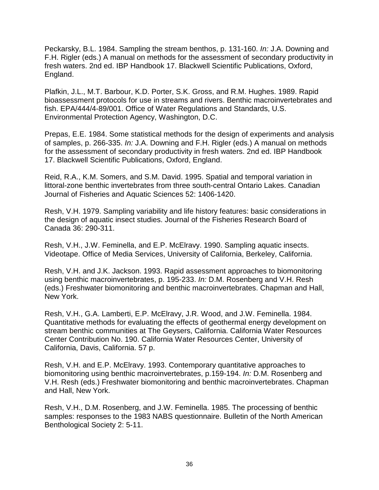Peckarsky, B.L. 1984. Sampling the stream benthos, p. 131-160. *In:* J.A. Downing and F.H. Rigler (eds.) A manual on methods for the assessment of secondary productivity in fresh waters. 2nd ed. IBP Handbook 17. Blackwell Scientific Publications, Oxford, England.

Plafkin, J.L., M.T. Barbour, K.D. Porter, S.K. Gross, and R.M. Hughes. 1989. Rapid bioassessment protocols for use in streams and rivers. Benthic macroinvertebrates and fish. EPA/444/4-89/001. Office of Water Regulations and Standards, U.S. Environmental Protection Agency, Washington, D.C.

Prepas, E.E. 1984. Some statistical methods for the design of experiments and analysis of samples, p. 266-335. *In:* J.A. Downing and F.H. Rigler (eds.) A manual on methods for the assessment of secondary productivity in fresh waters. 2nd ed. IBP Handbook 17. Blackwell Scientific Publications, Oxford, England.

Reid, R.A., K.M. Somers, and S.M. David. 1995. Spatial and temporal variation in littoral-zone benthic invertebrates from three south-central Ontario Lakes. Canadian Journal of Fisheries and Aquatic Sciences 52: 1406-1420.

Resh, V.H. 1979. Sampling variability and life history features: basic considerations in the design of aquatic insect studies. Journal of the Fisheries Research Board of Canada 36: 290-311.

Resh, V.H., J.W. Feminella, and E.P. McElravy. 1990. Sampling aquatic insects. Videotape. Office of Media Services, University of California, Berkeley, California.

Resh, V.H. and J.K. Jackson. 1993. Rapid assessment approaches to biomonitoring using benthic macroinvertebrates, p. 195-233. *In:* D.M. Rosenberg and V.H. Resh (eds.) Freshwater biomonitoring and benthic macroinvertebrates. Chapman and Hall, New York.

Resh, V.H., G.A. Lamberti, E.P. McElravy, J.R. Wood, and J.W. Feminella. 1984. Quantitative methods for evaluating the effects of geothermal energy development on stream benthic communities at The Geysers, California. California Water Resources Center Contribution No. 190. California Water Resources Center, University of California, Davis, California. 57 p.

Resh, V.H. and E.P. McElravy. 1993. Contemporary quantitative approaches to biomonitoring using benthic macroinvertebrates, p.159-194. *In:* D.M. Rosenberg and V.H. Resh (eds.) Freshwater biomonitoring and benthic macroinvertebrates. Chapman and Hall, New York.

Resh, V.H., D.M. Rosenberg, and J.W. Feminella. 1985. The processing of benthic samples: responses to the 1983 NABS questionnaire. Bulletin of the North American Benthological Society 2: 5-11.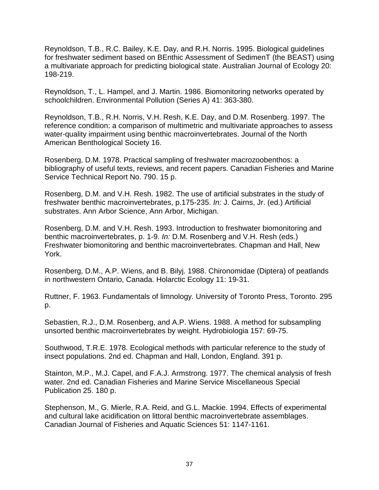Reynoldson, T.B., R.C. Bailey, K.E. Day, and R.H. Norris. 1995. Biological guidelines for freshwater sediment based on BEnthic Assessment of SedimenT (the BEAST) using a multivariate approach for predicting biological state. Australian Journal of Ecology 20: 198-219.

Reynoldson, T., L. Hampel, and J. Martin. 1986. Biomonitoring networks operated by schoolchildren. Environmental Pollution (Series A) 41: 363-380.

Reynoldson, T.B., R.H. Norris, V.H. Resh, K.E. Day, and D.M. Rosenberg. 1997. The reference condition: a comparison of multimetric and multivariate approaches to assess water-quality impairment using benthic macroinvertebrates. Journal of the North American Benthological Society 16.

Rosenberg, D.M. 1978. Practical sampling of freshwater macrozoobenthos: a bibliography of useful texts, reviews, and recent papers. Canadian Fisheries and Marine Service Technical Report No. 790. 15 p.

Rosenberg, D.M. and V.H. Resh. 1982. The use of artificial substrates in the study of freshwater benthic macroinvertebrates, p.175-235. *In:* J. Cairns, Jr. (ed.) Artificial substrates. Ann Arbor Science, Ann Arbor, Michigan.

Rosenberg, D.M. and V.H. Resh. 1993. Introduction to freshwater biomonitoring and benthic macroinvertebrates, p. 1-9. *In:* D.M. Rosenberg and V.H. Resh (eds.) Freshwater biomonitoring and benthic macroinvertebrates. Chapman and Hall, New York.

Rosenberg, D.M., A.P. Wiens, and B. Bilyj. 1988. Chironomidae (Diptera) of peatlands in northwestern Ontario, Canada. Holarctic Ecology 11: 19-31.

Ruttner, F. 1963. Fundamentals of limnology. University of Toronto Press, Toronto. 295 p.

Sebastien, R.J., D.M. Rosenberg, and A.P. Wiens. 1988. A method for subsampling unsorted benthic macroinvertebrates by weight. Hydrobiologia 157: 69-75.

Southwood, T.R.E. 1978. Ecological methods with particular reference to the study of insect populations. 2nd ed. Chapman and Hall, London, England. 391 p.

Stainton, M.P., M.J. Capel, and F.A.J. Armstrong. 1977. The chemical analysis of fresh water. 2nd ed. Canadian Fisheries and Marine Service Miscellaneous Special Publication 25. 180 p.

Stephenson, M., G. Mierle, R.A. Reid, and G.L. Mackie. 1994. Effects of experimental and cultural lake acidification on littoral benthic macroinvertebrate assemblages. Canadian Journal of Fisheries and Aquatic Sciences 51: 1147-1161.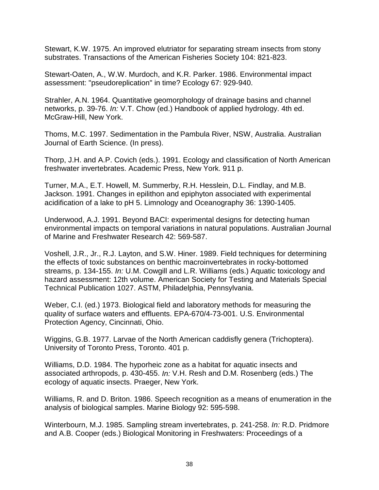Stewart, K.W. 1975. An improved elutriator for separating stream insects from stony substrates. Transactions of the American Fisheries Society 104: 821-823.

Stewart-Oaten, A., W.W. Murdoch, and K.R. Parker. 1986. Environmental impact assessment: "pseudoreplication" in time? Ecology 67: 929-940.

Strahler, A.N. 1964. Quantitative geomorphology of drainage basins and channel networks, p. 39-76. *In:* V.T. Chow (ed.) Handbook of applied hydrology. 4th ed. McGraw-Hill, New York.

Thoms, M.C. 1997. Sedimentation in the Pambula River, NSW, Australia. Australian Journal of Earth Science. (In press).

Thorp, J.H. and A.P. Covich (eds.). 1991. Ecology and classification of North American freshwater invertebrates. Academic Press, New York. 911 p.

Turner, M.A., E.T. Howell, M. Summerby, R.H. Hesslein, D.L. Findlay, and M.B. Jackson. 1991. Changes in epilithon and epiphyton associated with experimental acidification of a lake to pH 5. Limnology and Oceanography 36: 1390-1405.

Underwood, A.J. 1991. Beyond BACI: experimental designs for detecting human environmental impacts on temporal variations in natural populations. Australian Journal of Marine and Freshwater Research 42: 569-587.

Voshell, J.R., Jr., R.J. Layton, and S.W. Hiner. 1989. Field techniques for determining the effects of toxic substances on benthic macroinvertebrates in rocky-bottomed streams, p. 134-155. *In:* U.M. Cowgill and L.R. Williams (eds.) Aquatic toxicology and hazard assessment: 12th volume. American Society for Testing and Materials Special Technical Publication 1027. ASTM, Philadelphia, Pennsylvania.

Weber, C.I. (ed.) 1973. Biological field and laboratory methods for measuring the quality of surface waters and effluents. EPA-670/4-73-001. U.S. Environmental Protection Agency, Cincinnati, Ohio.

Wiggins, G.B. 1977. Larvae of the North American caddisfly genera (Trichoptera). University of Toronto Press, Toronto. 401 p.

Williams, D.D. 1984. The hyporheic zone as a habitat for aquatic insects and associated arthropods, p. 430-455. *In:* V.H. Resh and D.M. Rosenberg (eds.) The ecology of aquatic insects. Praeger, New York.

Williams, R. and D. Briton. 1986. Speech recognition as a means of enumeration in the analysis of biological samples. Marine Biology 92: 595-598.

Winterbourn, M.J. 1985. Sampling stream invertebrates, p. 241-258. *In:* R.D. Pridmore and A.B. Cooper (eds.) Biological Monitoring in Freshwaters: Proceedings of a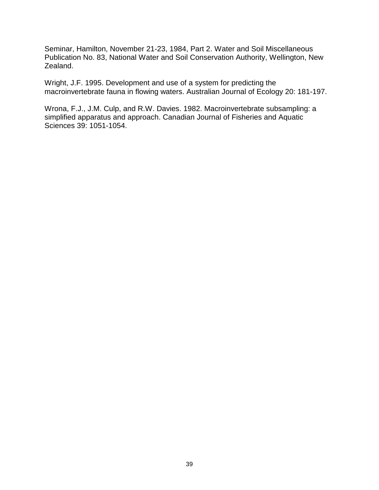Seminar, Hamilton, November 21-23, 1984, Part 2. Water and Soil Miscellaneous Publication No. 83, National Water and Soil Conservation Authority, Wellington, New Zealand.

Wright, J.F. 1995. Development and use of a system for predicting the macroinvertebrate fauna in flowing waters. Australian Journal of Ecology 20: 181-197.

Wrona, F.J., J.M. Culp, and R.W. Davies. 1982. Macroinvertebrate subsampling: a simplified apparatus and approach. Canadian Journal of Fisheries and Aquatic Sciences 39: 1051-1054.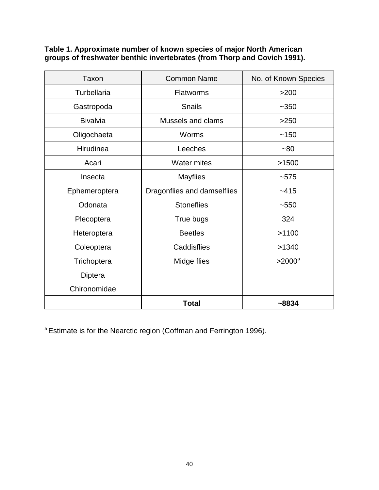**Table 1. Approximate number of known species of major North American groups of freshwater benthic invertebrates (from Thorp and Covich 1991).**

| Taxon              | <b>Common Name</b>          | No. of Known Species |  |  |
|--------------------|-----------------------------|----------------------|--|--|
| <b>Turbellaria</b> | <b>Flatworms</b>            | $>200$               |  |  |
| Gastropoda         | <b>Snails</b>               | $-350$               |  |  |
| <b>Bivalvia</b>    | Mussels and clams           | >250                 |  |  |
| Oligochaeta        | Worms                       | ~150                 |  |  |
| Hirudinea          | Leeches                     | $-80$                |  |  |
| Acari              | <b>Water mites</b>          | >1500                |  |  |
| Insecta            | <b>Mayflies</b>             | $-575$               |  |  |
| Ephemeroptera      | Dragonflies and damselflies | $-415$               |  |  |
| Odonata            | <b>Stoneflies</b>           | $-550$               |  |  |
| Plecoptera         | True bugs                   | 324                  |  |  |
| Heteroptera        | <b>Beetles</b>              | >1100                |  |  |
| Coleoptera         | Caddisflies                 | >1340                |  |  |
| Trichoptera        | Midge flies                 | $>2000$ <sup>a</sup> |  |  |
| Diptera            |                             |                      |  |  |
| Chironomidae       |                             |                      |  |  |
|                    | <b>Total</b>                | $~-8834$             |  |  |

<sup>a</sup> Estimate is for the Nearctic region (Coffman and Ferrington 1996).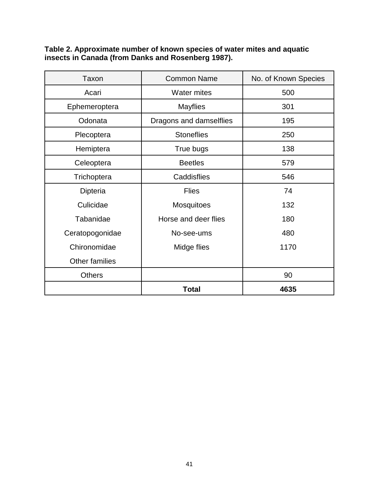**Table 2. Approximate number of known species of water mites and aquatic insects in Canada (from Danks and Rosenberg 1987).**

| Taxon           | <b>Common Name</b>      | No. of Known Species |  |  |
|-----------------|-------------------------|----------------------|--|--|
| Acari           | <b>Water mites</b>      | 500                  |  |  |
| Ephemeroptera   | <b>Mayflies</b>         | 301                  |  |  |
| Odonata         | Dragons and damselflies | 195                  |  |  |
| Plecoptera      | <b>Stoneflies</b>       | 250                  |  |  |
| Hemiptera       | True bugs               | 138                  |  |  |
| Celeoptera      | <b>Beetles</b>          | 579                  |  |  |
| Trichoptera     | Caddisflies             | 546                  |  |  |
| Dipteria        | <b>Flies</b>            | 74                   |  |  |
| Culicidae       | <b>Mosquitoes</b>       | 132                  |  |  |
| Tabanidae       | Horse and deer flies    | 180                  |  |  |
| Ceratopogonidae | No-see-ums              | 480                  |  |  |
| Chironomidae    | Midge flies             | 1170                 |  |  |
| Other families  |                         |                      |  |  |
| <b>Others</b>   |                         | 90                   |  |  |
|                 | <b>Total</b>            | 4635                 |  |  |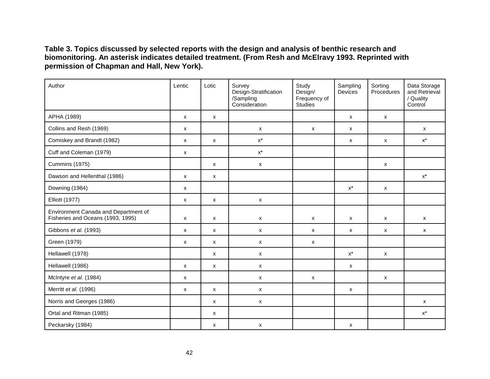**Table 3. Topics discussed by selected reports with the design and analysis of benthic research and biomonitoring. An asterisk indicates detailed treatment. (From Resh and McElravy 1993. Reprinted with permission of Chapman and Hall, New York).**

| Author                                                                    | Lentic                    | Lotic              | Survey<br>Design-Stratification<br>/Sampling<br>Consideration | Study<br>Design/<br>Frequency of<br><b>Studies</b> | Sampling<br>Devices | Sorting<br>Procedures     | Data Storage<br>and Retrieval<br>/ Quality<br>Control |
|---------------------------------------------------------------------------|---------------------------|--------------------|---------------------------------------------------------------|----------------------------------------------------|---------------------|---------------------------|-------------------------------------------------------|
| APHA (1989)                                                               | $\mathsf{x}$              | X                  |                                                               |                                                    | X                   | X                         |                                                       |
| Collins and Resh (1969)                                                   | $\pmb{\mathsf{X}}$        |                    | $\boldsymbol{\mathsf{x}}$                                     | $\pmb{\mathsf{X}}$                                 | X                   |                           | $\boldsymbol{\mathsf{x}}$                             |
| Comiskey and Brandt (1982)                                                | $\boldsymbol{\mathsf{x}}$ | X                  | $\mathsf{X}^\star$                                            |                                                    | X                   | $\boldsymbol{\mathsf{x}}$ | $\mathsf{X}^\star$                                    |
| Cuff and Coleman (1979)                                                   | $\pmb{\mathsf{X}}$        |                    | $\mathsf{X}^\star$                                            |                                                    |                     |                           |                                                       |
| Cummins (1975)                                                            |                           | $\mathsf{x}$       | $\mathsf{x}$                                                  |                                                    |                     | $\boldsymbol{\mathsf{x}}$ |                                                       |
| Dawson and Hellenthal (1986)                                              | $\mathsf{x}$              | x                  |                                                               |                                                    |                     |                           | $\mathsf{X}^\star$                                    |
| Downing (1984)                                                            | x                         |                    |                                                               |                                                    | $\mathsf{X}^\star$  | $\boldsymbol{\mathsf{x}}$ |                                                       |
| <b>Elliott (1977)</b>                                                     | $\mathsf{x}$              | X                  | $\pmb{\mathsf{X}}$                                            |                                                    |                     |                           |                                                       |
| Environment Canada and Department of<br>Fisheries and Oceans (1993, 1995) | $\mathsf{x}$              | $\pmb{\mathsf{X}}$ | $\boldsymbol{\mathsf{x}}$                                     | X                                                  | $\pmb{\mathsf{X}}$  | $\boldsymbol{\mathsf{x}}$ | X                                                     |
| Gibbons et al. (1993)                                                     | $\mathsf{x}$              | X                  | $\mathsf{x}$                                                  | X                                                  | X                   | $\mathsf{x}$              | $\mathsf{x}$                                          |
| Green (1979)                                                              | X                         | X                  | $\mathsf{x}$                                                  | X                                                  |                     |                           |                                                       |
| Hellawell (1978)                                                          |                           | x                  | $\pmb{\mathsf{X}}$                                            |                                                    | $\mathsf{X}^\star$  | $\boldsymbol{\mathsf{x}}$ |                                                       |
| Hellawell (1986)                                                          | $\mathsf{x}$              | X                  | $\boldsymbol{\mathsf{x}}$                                     |                                                    | X                   |                           |                                                       |
| McIntyre et al. (1984)                                                    | $\mathsf{x}$              |                    | $\pmb{\mathsf{X}}$                                            | $\pmb{\mathsf{X}}$                                 |                     | $\pmb{\mathsf{X}}$        |                                                       |
| Merritt et al. (1996)                                                     | X                         | X                  | $\pmb{\mathsf{X}}$                                            |                                                    | X                   |                           |                                                       |
| Norris and Georges (1986)                                                 |                           | X                  | $\pmb{\mathsf{X}}$                                            |                                                    |                     |                           | $\mathsf{x}$                                          |
| Ortal and Ritman (1985)                                                   |                           | X                  |                                                               |                                                    |                     |                           | $\mathsf{X}^\star$                                    |
| Peckarsky (1984)                                                          |                           | X                  | $\pmb{\mathsf{X}}$                                            |                                                    | X                   |                           |                                                       |